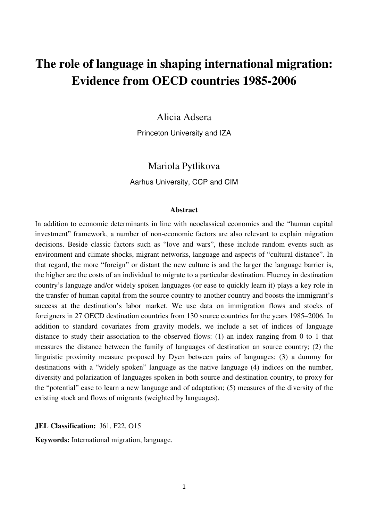# **The role of language in shaping international migration: Evidence from OECD countries 1985-2006**

## Alicia Adsera

Princeton University and IZA

# Mariola Pytlikova

Aarhus University, CCP and CIM

## **Abstract**

In addition to economic determinants in line with neoclassical economics and the "human capital investment" framework, a number of non-economic factors are also relevant to explain migration decisions. Beside classic factors such as "love and wars", these include random events such as environment and climate shocks, migrant networks, language and aspects of "cultural distance". In that regard, the more "foreign" or distant the new culture is and the larger the language barrier is, the higher are the costs of an individual to migrate to a particular destination. Fluency in destination country's language and/or widely spoken languages (or ease to quickly learn it) plays a key role in the transfer of human capital from the source country to another country and boosts the immigrant's success at the destination's labor market. We use data on immigration flows and stocks of foreigners in 27 OECD destination countries from 130 source countries for the years 1985–2006. In addition to standard covariates from gravity models, we include a set of indices of language distance to study their association to the observed flows: (1) an index ranging from 0 to 1 that measures the distance between the family of languages of destination an source country; (2) the linguistic proximity measure proposed by Dyen between pairs of languages; (3) a dummy for destinations with a "widely spoken" language as the native language (4) indices on the number, diversity and polarization of languages spoken in both source and destination country, to proxy for the "potential" ease to learn a new language and of adaptation; (5) measures of the diversity of the existing stock and flows of migrants (weighted by languages).

JEL Classification: J61, F22, O15

**Keywords:** International migration, language.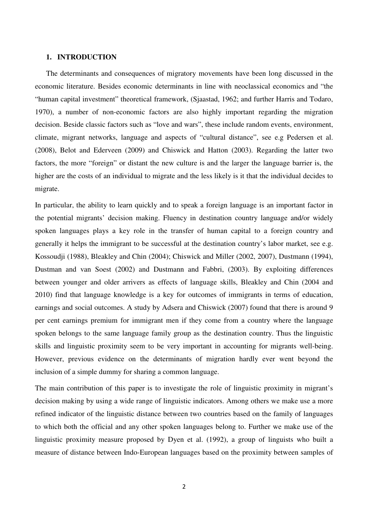## **1. INTRODUCTION**

The determinants and consequences of migratory movements have been long discussed in the economic literature. Besides economic determinants in line with neoclassical economics and "the "human capital investment" theoretical framework, (Sjaastad, 1962; and further Harris and Todaro, 1970), a number of non-economic factors are also highly important regarding the migration decision. Beside classic factors such as "love and wars", these include random events, environment, climate, migrant networks, language and aspects of "cultural distance", see e.g Pedersen et al. (2008), Belot and Ederveen (2009) and Chiswick and Hatton (2003). Regarding the latter two factors, the more "foreign" or distant the new culture is and the larger the language barrier is, the higher are the costs of an individual to migrate and the less likely is it that the individual decides to migrate.

In particular, the ability to learn quickly and to speak a foreign language is an important factor in the potential migrants' decision making. Fluency in destination country language and/or widely spoken languages plays a key role in the transfer of human capital to a foreign country and generally it helps the immigrant to be successful at the destination country's labor market, see e.g. Kossoudji (1988), Bleakley and Chin (2004); Chiswick and Miller (2002, 2007), Dustmann (1994), Dustman and van Soest (2002) and Dustmann and Fabbri, (2003). By exploiting differences between younger and older arrivers as effects of language skills, Bleakley and Chin (2004 and 2010) find that language knowledge is a key for outcomes of immigrants in terms of education, earnings and social outcomes. A study by Adsera and Chiswick (2007) found that there is around 9 per cent earnings premium for immigrant men if they come from a country where the language spoken belongs to the same language family group as the destination country. Thus the linguistic skills and linguistic proximity seem to be very important in accounting for migrants well-being. However, previous evidence on the determinants of migration hardly ever went beyond the inclusion of a simple dummy for sharing a common language.

The main contribution of this paper is to investigate the role of linguistic proximity in migrant's decision making by using a wide range of linguistic indicators. Among others we make use a more refined indicator of the linguistic distance between two countries based on the family of languages to which both the official and any other spoken languages belong to. Further we make use of the linguistic proximity measure proposed by Dyen et al. (1992), a group of linguists who built a measure of distance between Indo-European languages based on the proximity between samples of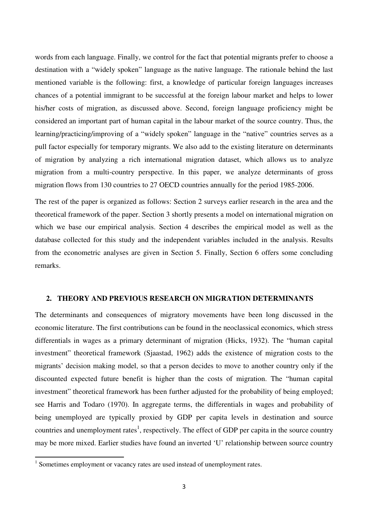words from each language. Finally, we control for the fact that potential migrants prefer to choose a destination with a "widely spoken" language as the native language. The rationale behind the last mentioned variable is the following: first, a knowledge of particular foreign languages increases chances of a potential immigrant to be successful at the foreign labour market and helps to lower his/her costs of migration, as discussed above. Second, foreign language proficiency might be considered an important part of human capital in the labour market of the source country. Thus, the learning/practicing/improving of a "widely spoken" language in the "native" countries serves as a pull factor especially for temporary migrants. We also add to the existing literature on determinants of migration by analyzing a rich international migration dataset, which allows us to analyze migration from a multi-country perspective. In this paper, we analyze determinants of gross migration flows from 130 countries to 27 OECD countries annually for the period 1985-2006.

The rest of the paper is organized as follows: Section 2 surveys earlier research in the area and the theoretical framework of the paper. Section 3 shortly presents a model on international migration on which we base our empirical analysis. Section 4 describes the empirical model as well as the database collected for this study and the independent variables included in the analysis. Results from the econometric analyses are given in Section 5. Finally, Section 6 offers some concluding remarks.

## **2. THEORY AND PREVIOUS RESEARCH ON MIGRATION DETERMINANTS**

The determinants and consequences of migratory movements have been long discussed in the economic literature. The first contributions can be found in the neoclassical economics, which stress differentials in wages as a primary determinant of migration (Hicks, 1932). The "human capital investment" theoretical framework (Sjaastad, 1962) adds the existence of migration costs to the migrants' decision making model, so that a person decides to move to another country only if the discounted expected future benefit is higher than the costs of migration. The "human capital investment" theoretical framework has been further adjusted for the probability of being employed; see Harris and Todaro (1970). In aggregate terms, the differentials in wages and probability of being unemployed are typically proxied by GDP per capita levels in destination and source countries and unemployment rates<sup>1</sup>, respectively. The effect of GDP per capita in the source country may be more mixed. Earlier studies have found an inverted 'U' relationship between source country

 $\overline{\phantom{0}}$ 

<sup>&</sup>lt;sup>1</sup> Sometimes employment or vacancy rates are used instead of unemployment rates.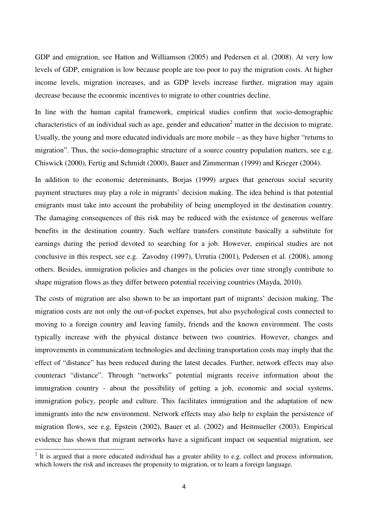GDP and emigration, see Hatton and Williamson (2005) and Pedersen et al. (2008). At very low levels of GDP, emigration is low because people are too poor to pay the migration costs. At higher income levels, migration increases, and as GDP levels increase further, migration may again decrease because the economic incentives to migrate to other countries decline.

In line with the human capital framework, empirical studies confirm that socio-demographic characteristics of an individual such as age, gender and education<sup>2</sup> matter in the decision to migrate. Usually, the young and more educated individuals are more mobile – as they have higher "returns to migration". Thus, the socio-demographic structure of a source country population matters, see e.g. Chiswick (2000), Fertig and Schmidt (2000), Bauer and Zimmerman (1999) and Krieger (2004).

In addition to the economic determinants, Borjas (1999) argues that generous social security payment structures may play a role in migrants' decision making. The idea behind is that potential emigrants must take into account the probability of being unemployed in the destination country. The damaging consequences of this risk may be reduced with the existence of generous welfare benefits in the destination country. Such welfare transfers constitute basically a substitute for earnings during the period devoted to searching for a job. However, empirical studies are not conclusive in this respect, see e.g. Zavodny (1997), Urrutia (2001), Pedersen et al. (2008), among others. Besides, immigration policies and changes in the policies over time strongly contribute to shape migration flows as they differ between potential receiving countries (Mayda, 2010).

The costs of migration are also shown to be an important part of migrants' decision making. The migration costs are not only the out-of-pocket expenses, but also psychological costs connected to moving to a foreign country and leaving family, friends and the known environment. The costs typically increase with the physical distance between two countries. However, changes and improvements in communication technologies and declining transportation costs may imply that the effect of "distance" has been reduced during the latest decades. Further, network effects may also counteract "distance". Through "networks" potential migrants receive information about the immigration country - about the possibility of getting a job, economic and social systems, immigration policy, people and culture. This facilitates immigration and the adaptation of new immigrants into the new environment. Network effects may also help to explain the persistence of migration flows, see e.g. Epstein (2002), Bauer et al. (2002) and Heitmueller (2003). Empirical evidence has shown that migrant networks have a significant impact on sequential migration, see

 $\overline{\phantom{0}}$ 

 $2$  It is argued that a more educated individual has a greater ability to e.g. collect and process information, which lowers the risk and increases the propensity to migration, or to learn a foreign language.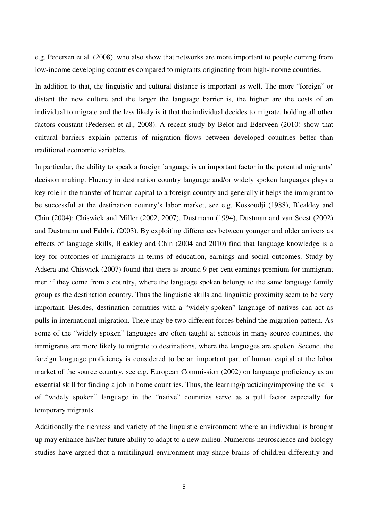e.g. Pedersen et al. (2008), who also show that networks are more important to people coming from low-income developing countries compared to migrants originating from high-income countries.

In addition to that, the linguistic and cultural distance is important as well. The more "foreign" or distant the new culture and the larger the language barrier is, the higher are the costs of an individual to migrate and the less likely is it that the individual decides to migrate, holding all other factors constant (Pedersen et al., 2008). A recent study by Belot and Ederveen (2010) show that cultural barriers explain patterns of migration flows between developed countries better than traditional economic variables.

In particular, the ability to speak a foreign language is an important factor in the potential migrants' decision making. Fluency in destination country language and/or widely spoken languages plays a key role in the transfer of human capital to a foreign country and generally it helps the immigrant to be successful at the destination country's labor market, see e.g. Kossoudji (1988), Bleakley and Chin (2004); Chiswick and Miller (2002, 2007), Dustmann (1994), Dustman and van Soest (2002) and Dustmann and Fabbri, (2003). By exploiting differences between younger and older arrivers as effects of language skills, Bleakley and Chin (2004 and 2010) find that language knowledge is a key for outcomes of immigrants in terms of education, earnings and social outcomes. Study by Adsera and Chiswick (2007) found that there is around 9 per cent earnings premium for immigrant men if they come from a country, where the language spoken belongs to the same language family group as the destination country. Thus the linguistic skills and linguistic proximity seem to be very important. Besides, destination countries with a "widely-spoken" language of natives can act as pulls in international migration. There may be two different forces behind the migration pattern. As some of the "widely spoken" languages are often taught at schools in many source countries, the immigrants are more likely to migrate to destinations, where the languages are spoken. Second, the foreign language proficiency is considered to be an important part of human capital at the labor market of the source country, see e.g. European Commission (2002) on language proficiency as an essential skill for finding a job in home countries. Thus, the learning/practicing/improving the skills of "widely spoken" language in the "native" countries serve as a pull factor especially for temporary migrants.

Additionally the richness and variety of the linguistic environment where an individual is brought up may enhance his/her future ability to adapt to a new milieu. Numerous neuroscience and biology studies have argued that a multilingual environment may shape brains of children differently and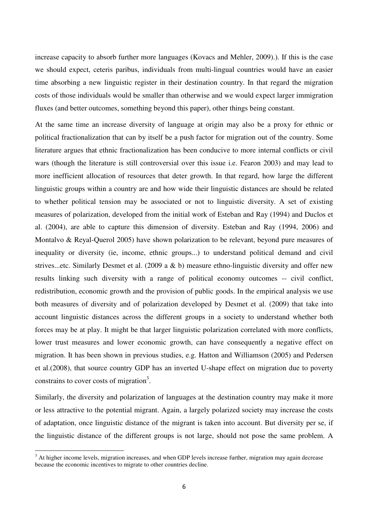increase capacity to absorb further more languages (Kovacs and Mehler, 2009).). If this is the case we should expect, ceteris paribus, individuals from multi-lingual countries would have an easier time absorbing a new linguistic register in their destination country. In that regard the migration costs of those individuals would be smaller than otherwise and we would expect larger immigration fluxes (and better outcomes, something beyond this paper), other things being constant.

At the same time an increase diversity of language at origin may also be a proxy for ethnic or political fractionalization that can by itself be a push factor for migration out of the country. Some literature argues that ethnic fractionalization has been conducive to more internal conflicts or civil wars (though the literature is still controversial over this issue i.e. Fearon 2003) and may lead to more inefficient allocation of resources that deter growth. In that regard, how large the different linguistic groups within a country are and how wide their linguistic distances are should be related to whether political tension may be associated or not to linguistic diversity. A set of existing measures of polarization, developed from the initial work of Esteban and Ray (1994) and Duclos et al. (2004), are able to capture this dimension of diversity. Esteban and Ray (1994, 2006) and Montalvo & Reyal-Querol 2005) have shown polarization to be relevant, beyond pure measures of inequality or diversity (ie, income, ethnic groups...) to understand political demand and civil strives...etc. Similarly Desmet et al. (2009 a & b) measure ethno-linguistic diversity and offer new results linking such diversity with a range of political economy outcomes -- civil conflict, redistribution, economic growth and the provision of public goods. In the empirical analysis we use both measures of diversity and of polarization developed by Desmet et al. (2009) that take into account linguistic distances across the different groups in a society to understand whether both forces may be at play. It might be that larger linguistic polarization correlated with more conflicts, lower trust measures and lower economic growth, can have consequently a negative effect on migration. It has been shown in previous studies, e.g. Hatton and Williamson (2005) and Pedersen et al.(2008), that source country GDP has an inverted U-shape effect on migration due to poverty constrains to cover costs of migration<sup>3</sup>.

Similarly, the diversity and polarization of languages at the destination country may make it more or less attractive to the potential migrant. Again, a largely polarized society may increase the costs of adaptation, once linguistic distance of the migrant is taken into account. But diversity per se, if the linguistic distance of the different groups is not large, should not pose the same problem. A

l

 $3$  At higher income levels, migration increases, and when GDP levels increase further, migration may again decrease because the economic incentives to migrate to other countries decline.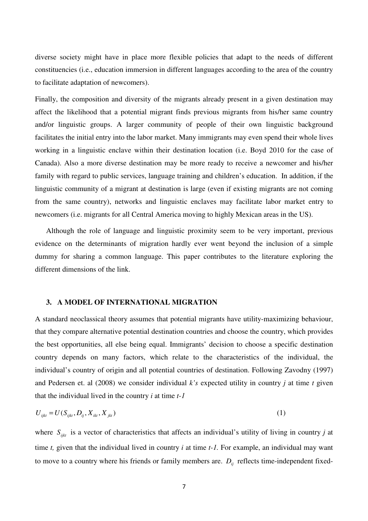diverse society might have in place more flexible policies that adapt to the needs of different constituencies (i.e., education immersion in different languages according to the area of the country to facilitate adaptation of newcomers).

Finally, the composition and diversity of the migrants already present in a given destination may affect the likelihood that a potential migrant finds previous migrants from his/her same country and/or linguistic groups. A larger community of people of their own linguistic background facilitates the initial entry into the labor market. Many immigrants may even spend their whole lives working in a linguistic enclave within their destination location (i.e. Boyd 2010 for the case of Canada). Also a more diverse destination may be more ready to receive a newcomer and his/her family with regard to public services, language training and children's education. In addition, if the linguistic community of a migrant at destination is large (even if existing migrants are not coming from the same country), networks and linguistic enclaves may facilitate labor market entry to newcomers (i.e. migrants for all Central America moving to highly Mexican areas in the US).

Although the role of language and linguistic proximity seem to be very important, previous evidence on the determinants of migration hardly ever went beyond the inclusion of a simple dummy for sharing a common language. This paper contributes to the literature exploring the different dimensions of the link.

## **3. A MODEL OF INTERNATIONAL MIGRATION**

A standard neoclassical theory assumes that potential migrants have utility-maximizing behaviour, that they compare alternative potential destination countries and choose the country, which provides the best opportunities, all else being equal. Immigrants' decision to choose a specific destination country depends on many factors, which relate to the characteristics of the individual, the individual's country of origin and all potential countries of destination. Following Zavodny (1997) and Pedersen et. al (2008) we consider individual *k's* expected utility in country *j* at time *t* given that the individual lived in the country *i* at time *t-1* 

$$
U_{ijk} = U(S_{ijk}, D_{ij}, X_{ik}, X_{jkt})
$$
\n(1)

where  $S_{ijk}$  is a vector of characteristics that affects an individual's utility of living in country *j* at time *t,* given that the individual lived in country *i* at time *t-1.* For example, an individual may want to move to a country where his friends or family members are.  $D_{ij}$  reflects time-independent fixed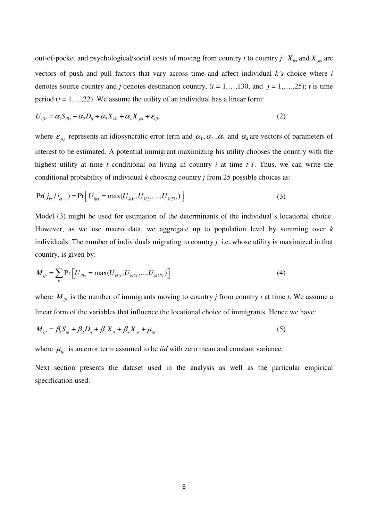out-of-pocket and psychological/social costs of moving from country *i* to country *j*.  $X_{ik}$  and  $X_{jkt}$  are vectors of push and pull factors that vary across time and affect individual *k's* choice where *i* denotes source country and *j* denotes destination country,  $(i = 1, \ldots, 130, \text{ and } j = 1, \ldots, 25)$ ; *t* is time period  $(t = 1, \ldots, 22)$ . We assume the utility of an individual has a linear form:

$$
U_{ijk} = \alpha_1 S_{ijk} + \alpha_2 D_{ij} + \alpha_3 X_{ik} + \alpha_4 X_{jkt} + \varepsilon_{ijkt}
$$
 (2)

where  $\varepsilon_{ijk}$  represents an idiosyncratic error term and  $\alpha_1, \alpha_2, \alpha_3$  and  $\alpha_4$  are vectors of parameters of interest to be estimated. A potential immigrant maximizing his utility chooses the country with the highest utility at time *t* conditional on living in country *i* at time *t-1*. Thus, we can write the conditional probability of individual *k* choosing country *j* from 25 possible choices as:

$$
Pr(j_{ki} / i_{ki-1}) = Pr[U_{ijk} = max(U_{ki1t}, U_{ki2t}, ..., U_{ki27t})]
$$
\n(3)

Model (3) might be used for estimation of the determinants of the individual's locational choice. However, as we use macro data, we aggregate up to population level by summing over *k*  individuals. The number of individuals migrating to country *j,* i.e. whose utility is maximized in that country, is given by:

$$
M_{ijt} = \sum_{k} \Pr[U_{ijkt} = \max(U_{k1t}, U_{k2t}, ..., U_{k27t})]
$$
\n(4)

where  $M_{ijt}$  is the number of immigrants moving to country *j* from country *i* at time *t*. We assume a linear form of the variables that influence the locational choice of immigrants. Hence we have:

$$
M_{ijt} = \beta_1 S_{ijt} + \beta_2 D_{ij} + \beta_3 X_{it} + \beta_4 X_{jt} + \mu_{ijt},
$$
\n(5)

where  $\mu_{ijt}$  is an error term assumed to be *iid* with zero mean and constant variance.

Next section presents the dataset used in the analysis as well as the particular empirical specification used.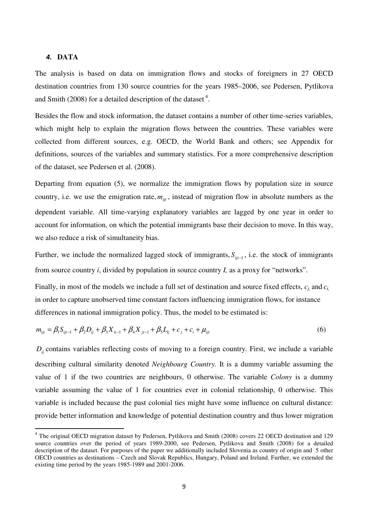## 4. **DATA**

 $\overline{\phantom{0}}$ 

The analysis is based on data on immigration flows and stocks of foreigners in 27 OECD destination countries from 130 source countries for the years 1985–2006, see Pedersen, Pytlikova and Smith (2008) for a detailed description of the dataset<sup>4</sup>.

Besides the flow and stock information, the dataset contains a number of other time-series variables, which might help to explain the migration flows between the countries. These variables were collected from different sources, e.g. OECD, the World Bank and others; see Appendix for definitions, sources of the variables and summary statistics. For a more comprehensive description of the dataset, see Pedersen et al. (2008).

Departing from equation (5), we normalize the immigration flows by population size in source country, i.e. we use the emigration rate,  $m_{ij}$ , instead of migration flow in absolute numbers as the dependent variable. All time-varying explanatory variables are lagged by one year in order to account for information, on which the potential immigrants base their decision to move. In this way, we also reduce a risk of simultaneity bias.

Further, we include the normalized lagged stock of immigrants,  $S_{ijt-1}$ , i.e. the stock of immigrants from source country *i*, divided by population in source country *I,* as a proxy for "networks".

Finally, in most of the models we include a full set of destination and source fixed effects, *cj,* and *ci,* in order to capture unobserved time constant factors influencing immigration flows, for instance differences in national immigration policy. Thus, the model to be estimated is:

$$
m_{ijt} = \beta_1 S_{ijt-1} + \beta_2 D_{ij} + \beta_3 X_{it-1} + \beta_4 X_{jt-1} + \beta_5 L_{ij} + c_j + c_i + \mu_{ijt}
$$
(6)

 $D<sub>i</sub>$  contains variables reflecting costs of moving to a foreign country. First, we include a variable describing cultural similarity denoted *Neighbourg Country.* It is a dummy variable assuming the value of 1 if the two countries are neighbours, 0 otherwise. The variable *Colony* is a dummy variable assuming the value of 1 for countries ever in colonial relationship, 0 otherwise. This variable is included because the past colonial ties might have some influence on cultural distance: provide better information and knowledge of potential destination country and thus lower migration

<sup>&</sup>lt;sup>4</sup> The original OECD migration dataset by Pedersen, Pytlikova and Smith (2008) covers 22 OECD destination and 129 source countries over the period of years 1989-2000, see Pedersen, Pytlikova and Smith (2008) for a detailed description of the dataset. For purposes of the paper we additionally included Slovenia as country of origin and 5 other OECD countries as destinations – Czech and Slovak Republics, Hungary, Poland and Ireland. Further, we extended the existing time period by the years 1985-1989 and 2001-2006.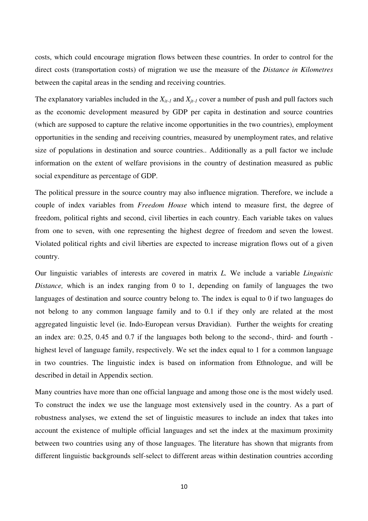costs, which could encourage migration flows between these countries. In order to control for the direct costs (transportation costs) of migration we use the measure of the *Distance in Kilometres* between the capital areas in the sending and receiving countries.

The explanatory variables included in the  $X_{it-1}$  and  $X_{it-1}$  cover a number of push and pull factors such as the economic development measured by GDP per capita in destination and source countries (which are supposed to capture the relative income opportunities in the two countries), employment opportunities in the sending and receiving countries, measured by unemployment rates, and relative size of populations in destination and source countries.. Additionally as a pull factor we include information on the extent of welfare provisions in the country of destination measured as public social expenditure as percentage of GDP.

The political pressure in the source country may also influence migration. Therefore, we include a couple of index variables from *Freedom House* which intend to measure first, the degree of freedom, political rights and second, civil liberties in each country. Each variable takes on values from one to seven, with one representing the highest degree of freedom and seven the lowest. Violated political rights and civil liberties are expected to increase migration flows out of a given country.

Our linguistic variables of interests are covered in matrix *L.* We include a variable *Linguistic Distance,* which is an index ranging from 0 to 1, depending on family of languages the two languages of destination and source country belong to. The index is equal to 0 if two languages do not belong to any common language family and to 0.1 if they only are related at the most aggregated linguistic level (ie. Indo-European versus Dravidian). Further the weights for creating an index are: 0.25, 0.45 and 0.7 if the languages both belong to the second-, third- and fourth highest level of language family, respectively. We set the index equal to 1 for a common language in two countries. The linguistic index is based on information from Ethnologue, and will be described in detail in Appendix section.

Many countries have more than one official language and among those one is the most widely used. To construct the index we use the language most extensively used in the country. As a part of robustness analyses, we extend the set of linguistic measures to include an index that takes into account the existence of multiple official languages and set the index at the maximum proximity between two countries using any of those languages. The literature has shown that migrants from different linguistic backgrounds self-select to different areas within destination countries according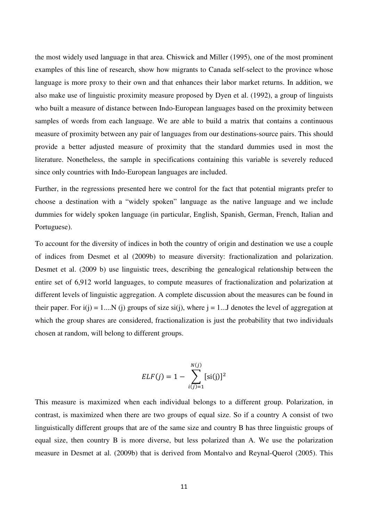the most widely used language in that area. Chiswick and Miller (1995), one of the most prominent examples of this line of research, show how migrants to Canada self-select to the province whose language is more proxy to their own and that enhances their labor market returns. In addition, we also make use of linguistic proximity measure proposed by Dyen et al. (1992), a group of linguists who built a measure of distance between Indo-European languages based on the proximity between samples of words from each language. We are able to build a matrix that contains a continuous measure of proximity between any pair of languages from our destinations-source pairs. This should provide a better adjusted measure of proximity that the standard dummies used in most the literature. Nonetheless, the sample in specifications containing this variable is severely reduced since only countries with Indo-European languages are included.

Further, in the regressions presented here we control for the fact that potential migrants prefer to choose a destination with a "widely spoken" language as the native language and we include dummies for widely spoken language (in particular, English, Spanish, German, French, Italian and Portuguese).

To account for the diversity of indices in both the country of origin and destination we use a couple of indices from Desmet et al (2009b) to measure diversity: fractionalization and polarization. Desmet et al. (2009 b) use linguistic trees, describing the genealogical relationship between the entire set of 6,912 world languages, to compute measures of fractionalization and polarization at different levels of linguistic aggregation. A complete discussion about the measures can be found in their paper. For  $i(j) = 1...N$  (j) groups of size  $si(j)$ , where  $j = 1...J$  denotes the level of aggregation at which the group shares are considered, fractionalization is just the probability that two individuals chosen at random, will belong to different groups.

$$
ELF(j) = 1 - \sum_{i(j)=1}^{N(j)} [si(j)]^{2}
$$

This measure is maximized when each individual belongs to a different group. Polarization, in contrast, is maximized when there are two groups of equal size. So if a country A consist of two linguistically different groups that are of the same size and country B has three linguistic groups of equal size, then country B is more diverse, but less polarized than A. We use the polarization measure in Desmet at al. (2009b) that is derived from Montalvo and Reynal-Querol (2005). This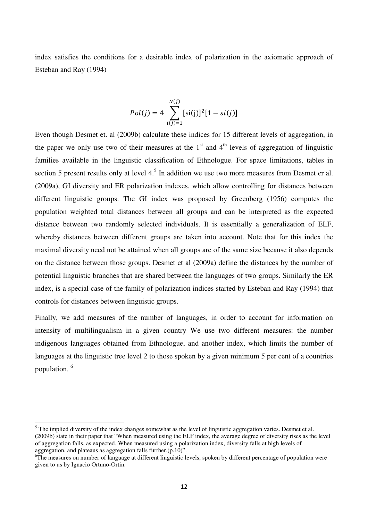index satisfies the conditions for a desirable index of polarization in the axiomatic approach of Esteban and Ray (1994)

$$
Pol(j) = 4 \sum_{i(j)=1}^{N(j)} [si(j)]^{2} [1 - si(j)]
$$

Even though Desmet et. al (2009b) calculate these indices for 15 different levels of aggregation, in the paper we only use two of their measures at the  $1<sup>st</sup>$  and  $4<sup>th</sup>$  levels of aggregation of linguistic families available in the linguistic classification of Ethnologue. For space limitations, tables in section 5 present results only at level  $4<sup>5</sup>$  In addition we use two more measures from Desmet er al. (2009a), GI diversity and ER polarization indexes, which allow controlling for distances between different linguistic groups. The GI index was proposed by Greenberg (1956) computes the population weighted total distances between all groups and can be interpreted as the expected distance between two randomly selected individuals. It is essentially a generalization of ELF, whereby distances between different groups are taken into account. Note that for this index the maximal diversity need not be attained when all groups are of the same size because it also depends on the distance between those groups. Desmet et al (2009a) define the distances by the number of potential linguistic branches that are shared between the languages of two groups. Similarly the ER index, is a special case of the family of polarization indices started by Esteban and Ray (1994) that controls for distances between linguistic groups.

Finally, we add measures of the number of languages, in order to account for information on intensity of multilingualism in a given country We use two different measures: the number indigenous languages obtained from Ethnologue, and another index, which limits the number of languages at the linguistic tree level 2 to those spoken by a given minimum 5 per cent of a countries population. <sup>6</sup>

l

 $<sup>5</sup>$  The implied diversity of the index changes somewhat as the level of linguistic aggregation varies. Desmet et al.</sup> (2009b) state in their paper that "When measured using the ELF index, the average degree of diversity rises as the level of aggregation falls, as expected. When measured using a polarization index, diversity falls at high levels of aggregation, and plateaus as aggregation falls further. $(p.10)$ ".

<sup>6</sup>The measures on number of language at different linguistic levels, spoken by different percentage of population were given to us by Ignacio Ortuno-Ortin.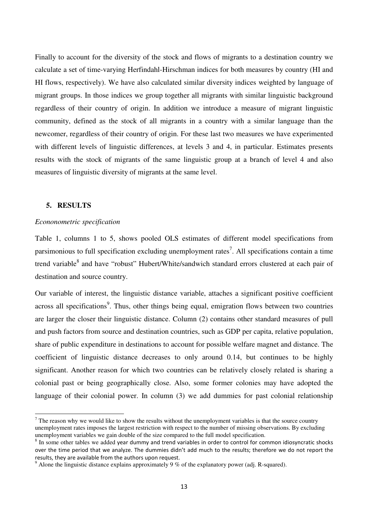Finally to account for the diversity of the stock and flows of migrants to a destination country we calculate a set of time-varying Herfindahl-Hirschman indices for both measures by country (HI and HI flows, respectively). We have also calculated similar diversity indices weighted by language of migrant groups. In those indices we group together all migrants with similar linguistic background regardless of their country of origin. In addition we introduce a measure of migrant linguistic community, defined as the stock of all migrants in a country with a similar language than the newcomer, regardless of their country of origin. For these last two measures we have experimented with different levels of linguistic differences, at levels 3 and 4, in particular. Estimates presents results with the stock of migrants of the same linguistic group at a branch of level 4 and also measures of linguistic diversity of migrants at the same level.

## **5. RESULTS**

l

## *Econonometric specification*

Table 1, columns 1 to 5, shows pooled OLS estimates of different model specifications from parsimonious to full specification excluding unemployment rates<sup>7</sup>. All specifications contain a time trend variable<sup>8</sup> and have "robust" Hubert/White/sandwich standard errors clustered at each pair of destination and source country.

Our variable of interest, the linguistic distance variable, attaches a significant positive coefficient across all specifications<sup>9</sup>. Thus, other things being equal, emigration flows between two countries are larger the closer their linguistic distance. Column (2) contains other standard measures of pull and push factors from source and destination countries, such as GDP per capita, relative population, share of public expenditure in destinations to account for possible welfare magnet and distance. The coefficient of linguistic distance decreases to only around 0.14, but continues to be highly significant. Another reason for which two countries can be relatively closely related is sharing a colonial past or being geographically close. Also, some former colonies may have adopted the language of their colonial power. In column (3) we add dummies for past colonial relationship

 $<sup>7</sup>$  The reason why we would like to show the results without the unemployment variables is that the source country</sup> unemployment rates imposes the largest restriction with respect to the number of missing observations. By excluding unemployment variables we gain double of the size compared to the full model specification.

 $8$  In some other tables we added year dummy and trend variables in order to control for common idiosyncratic shocks over the time period that we analyze. The dummies didn't add much to the results; therefore we do not report the results, they are available from the authors upon request.

 $9^9$  Alone the linguistic distance explains approximately 9 % of the explanatory power (adj. R-squared).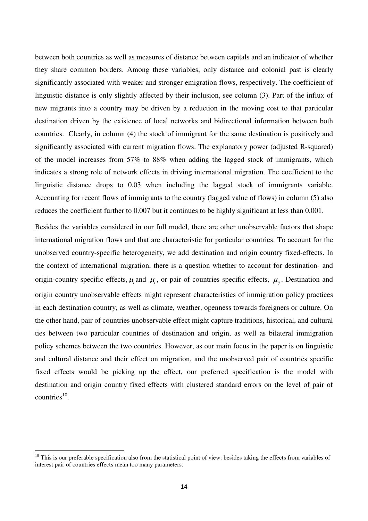between both countries as well as measures of distance between capitals and an indicator of whether they share common borders. Among these variables, only distance and colonial past is clearly significantly associated with weaker and stronger emigration flows, respectively. The coefficient of linguistic distance is only slightly affected by their inclusion, see column (3). Part of the influx of new migrants into a country may be driven by a reduction in the moving cost to that particular destination driven by the existence of local networks and bidirectional information between both countries. Clearly, in column (4) the stock of immigrant for the same destination is positively and significantly associated with current migration flows. The explanatory power (adjusted R-squared) of the model increases from 57% to 88% when adding the lagged stock of immigrants, which indicates a strong role of network effects in driving international migration. The coefficient to the linguistic distance drops to 0.03 when including the lagged stock of immigrants variable. Accounting for recent flows of immigrants to the country (lagged value of flows) in column (5) also reduces the coefficient further to 0.007 but it continues to be highly significant at less than 0.001.

Besides the variables considered in our full model, there are other unobservable factors that shape international migration flows and that are characteristic for particular countries. To account for the unobserved country-specific heterogeneity, we add destination and origin country fixed-effects. In the context of international migration, there is a question whether to account for destination- and origin-country specific effects,  $\mu_i$  and  $\mu_i$ , or pair of countries specific effects,  $\mu_{ij}$ . Destination and origin country unobservable effects might represent characteristics of immigration policy practices in each destination country, as well as climate, weather, openness towards foreigners or culture. On the other hand, pair of countries unobservable effect might capture traditions, historical, and cultural ties between two particular countries of destination and origin, as well as bilateral immigration policy schemes between the two countries. However, as our main focus in the paper is on linguistic and cultural distance and their effect on migration, and the unobserved pair of countries specific fixed effects would be picking up the effect, our preferred specification is the model with destination and origin country fixed effects with clustered standard errors on the level of pair of  $countries<sup>10</sup>$ .

l

 $10$  This is our preferable specification also from the statistical point of view: besides taking the effects from variables of interest pair of countries effects mean too many parameters.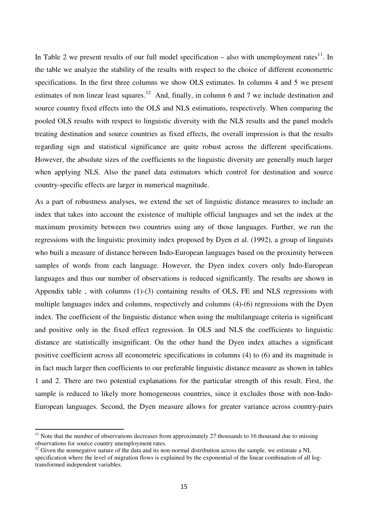In Table 2 we present results of our full model specification – also with unemployment rates<sup>11</sup>. In the table we analyze the stability of the results with respect to the choice of different econometric specifications. In the first three columns we show OLS estimates. In columns 4 and 5 we present estimates of non linear least squares.<sup>12</sup> And, finally, in column 6 and 7 we include destination and source country fixed effects into the OLS and NLS estimations, respectively. When comparing the pooled OLS results with respect to linguistic diversity with the NLS results and the panel models treating destination and source countries as fixed effects, the overall impression is that the results regarding sign and statistical significance are quite robust across the different specifications. However, the absolute sizes of the coefficients to the linguistic diversity are generally much larger when applying NLS. Also the panel data estimators which control for destination and source country-specific effects are larger in numerical magnitude.

As a part of robustness analyses, we extend the set of linguistic distance measures to include an index that takes into account the existence of multiple official languages and set the index at the maximum proximity between two countries using any of those languages. Further, we run the regressions with the linguistic proximity index proposed by Dyen et al. (1992), a group of linguists who built a measure of distance between Indo-European languages based on the proximity between samples of words from each language. However, the Dyen index covers only Indo-European languages and thus our number of observations is reduced significantly. The results are shown in Appendix table , with columns (1)-(3) containing results of OLS, FE and NLS regressions with multiple languages index and columns, respectively and columns (4)-(6) regressions with the Dyen index. The coefficient of the linguistic distance when using the multilanguage criteria is significant and positive only in the fixed effect regression. In OLS and NLS the coefficients to linguistic distance are statistically insignificant. On the other hand the Dyen index attaches a significant positive coefficient across all econometric specifications in columns (4) to (6) and its magnitude is in fact much larger then coefficients to our preferable linguistic distance measure as shown in tables 1 and 2. There are two potential explanations for the particular strength of this result. First, the sample is reduced to likely more homogeneous countries, since it excludes those with non-Indo-European languages. Second, the Dyen measure allows for greater variance across country-pairs

l

 $11$  Note that the number of observations decreases from approximately 27 thousands to 16 thousand due to missing observations for source country unemployment rates.

 $12$  Given the nonnegative nature of the data and its non-normal distribution across the sample, we estimate a NL specification where the level of migration flows is explained by the exponential of the linear combination of all logtransformed independent variables.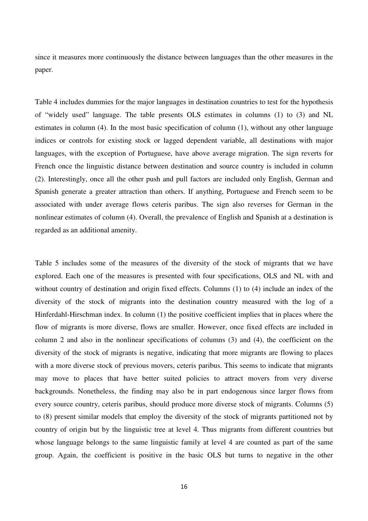since it measures more continuously the distance between languages than the other measures in the paper.

Table 4 includes dummies for the major languages in destination countries to test for the hypothesis of "widely used" language. The table presents OLS estimates in columns (1) to (3) and NL estimates in column (4). In the most basic specification of column (1), without any other language indices or controls for existing stock or lagged dependent variable, all destinations with major languages, with the exception of Portuguese, have above average migration. The sign reverts for French once the linguistic distance between destination and source country is included in column (2). Interestingly, once all the other push and pull factors are included only English, German and Spanish generate a greater attraction than others. If anything, Portuguese and French seem to be associated with under average flows ceteris paribus. The sign also reverses for German in the nonlinear estimates of column (4). Overall, the prevalence of English and Spanish at a destination is regarded as an additional amenity.

Table 5 includes some of the measures of the diversity of the stock of migrants that we have explored. Each one of the measures is presented with four specifications, OLS and NL with and without country of destination and origin fixed effects. Columns (1) to (4) include an index of the diversity of the stock of migrants into the destination country measured with the log of a Hinferdahl-Hirschman index. In column (1) the positive coefficient implies that in places where the flow of migrants is more diverse, flows are smaller. However, once fixed effects are included in column 2 and also in the nonlinear specifications of columns (3) and (4), the coefficient on the diversity of the stock of migrants is negative, indicating that more migrants are flowing to places with a more diverse stock of previous movers, ceteris paribus. This seems to indicate that migrants may move to places that have better suited policies to attract movers from very diverse backgrounds. Nonetheless, the finding may also be in part endogenous since larger flows from every source country, ceteris paribus, should produce more diverse stock of migrants. Columns (5) to (8) present similar models that employ the diversity of the stock of migrants partitioned not by country of origin but by the linguistic tree at level 4. Thus migrants from different countries but whose language belongs to the same linguistic family at level 4 are counted as part of the same group. Again, the coefficient is positive in the basic OLS but turns to negative in the other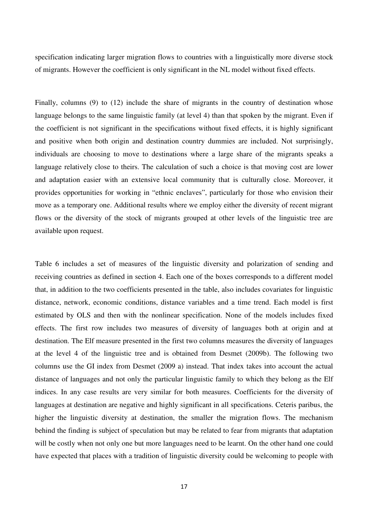specification indicating larger migration flows to countries with a linguistically more diverse stock of migrants. However the coefficient is only significant in the NL model without fixed effects.

Finally, columns (9) to (12) include the share of migrants in the country of destination whose language belongs to the same linguistic family (at level 4) than that spoken by the migrant. Even if the coefficient is not significant in the specifications without fixed effects, it is highly significant and positive when both origin and destination country dummies are included. Not surprisingly, individuals are choosing to move to destinations where a large share of the migrants speaks a language relatively close to theirs. The calculation of such a choice is that moving cost are lower and adaptation easier with an extensive local community that is culturally close. Moreover, it provides opportunities for working in "ethnic enclaves", particularly for those who envision their move as a temporary one. Additional results where we employ either the diversity of recent migrant flows or the diversity of the stock of migrants grouped at other levels of the linguistic tree are available upon request.

Table 6 includes a set of measures of the linguistic diversity and polarization of sending and receiving countries as defined in section 4. Each one of the boxes corresponds to a different model that, in addition to the two coefficients presented in the table, also includes covariates for linguistic distance, network, economic conditions, distance variables and a time trend. Each model is first estimated by OLS and then with the nonlinear specification. None of the models includes fixed effects. The first row includes two measures of diversity of languages both at origin and at destination. The Elf measure presented in the first two columns measures the diversity of languages at the level 4 of the linguistic tree and is obtained from Desmet (2009b). The following two columns use the GI index from Desmet (2009 a) instead. That index takes into account the actual distance of languages and not only the particular linguistic family to which they belong as the Elf indices. In any case results are very similar for both measures. Coefficients for the diversity of languages at destination are negative and highly significant in all specifications. Ceteris paribus, the higher the linguistic diversity at destination, the smaller the migration flows. The mechanism behind the finding is subject of speculation but may be related to fear from migrants that adaptation will be costly when not only one but more languages need to be learnt. On the other hand one could have expected that places with a tradition of linguistic diversity could be welcoming to people with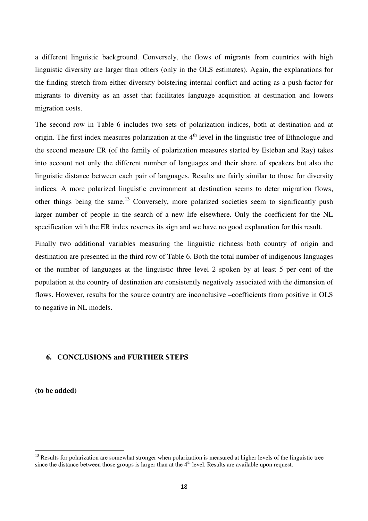a different linguistic background. Conversely, the flows of migrants from countries with high linguistic diversity are larger than others (only in the OLS estimates). Again, the explanations for the finding stretch from either diversity bolstering internal conflict and acting as a push factor for migrants to diversity as an asset that facilitates language acquisition at destination and lowers migration costs.

The second row in Table 6 includes two sets of polarization indices, both at destination and at origin. The first index measures polarization at the  $4<sup>th</sup>$  level in the linguistic tree of Ethnologue and the second measure ER (of the family of polarization measures started by Esteban and Ray) takes into account not only the different number of languages and their share of speakers but also the linguistic distance between each pair of languages. Results are fairly similar to those for diversity indices. A more polarized linguistic environment at destination seems to deter migration flows, other things being the same.<sup>13</sup> Conversely, more polarized societies seem to significantly push larger number of people in the search of a new life elsewhere. Only the coefficient for the NL specification with the ER index reverses its sign and we have no good explanation for this result.

Finally two additional variables measuring the linguistic richness both country of origin and destination are presented in the third row of Table 6. Both the total number of indigenous languages or the number of languages at the linguistic three level 2 spoken by at least 5 per cent of the population at the country of destination are consistently negatively associated with the dimension of flows. However, results for the source country are inconclusive –coefficients from positive in OLS to negative in NL models.

## **6. CONCLUSIONS and FURTHER STEPS**

**(to be added)** 

l

 $<sup>13</sup>$  Results for polarization are somewhat stronger when polarization is measured at higher levels of the linguistic tree</sup> since the distance between those groups is larger than at the  $4<sup>th</sup>$  level. Results are available upon request.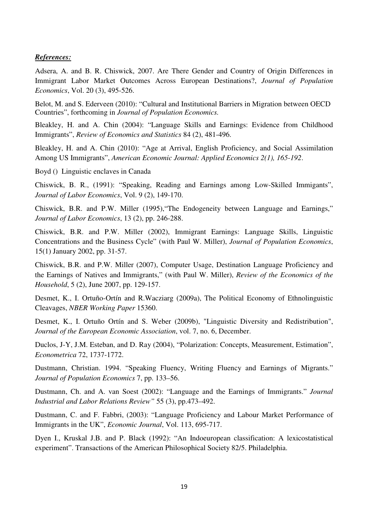## *References:*

Adsera, A. and B. R. Chiswick, 2007. Are There Gender and Country of Origin Differences in Immigrant Labor Market Outcomes Across European Destinations?, *Journal of Population Economics*, Vol. 20 (3), 495-526.

Belot, M. and S. Ederveen (2010): "Cultural and Institutional Barriers in Migration between OECD Countries", forthcoming in *Journal of Population Economics.* 

Bleakley, H. and A. Chin (2004): "Language Skills and Earnings: Evidence from Childhood Immigrants", *Review of Economics and Statistics* 84 (2), 481-496.

Bleakley, H. and A. Chin (2010): "Age at Arrival, English Proficiency, and Social Assimilation Among US Immigrants", *American Economic Journal: Applied Economics 2(1), 165-192*.

Boyd () Linguistic enclaves in Canada

Chiswick, B. R., (1991): "Speaking, Reading and Earnings among Low-Skilled Immigants", *Journal of Labor Economics*, Vol. 9 (2), 149-170.

Chiswick, B.R. and P.W. Miller (1995),"The Endogeneity between Language and Earnings," *Journal of Labor Economics*, 13 (2), pp. 246-288.

Chiswick, B.R. and P.W. Miller (2002), Immigrant Earnings: Language Skills, Linguistic Concentrations and the Business Cycle" (with Paul W. Miller), *Journal of Population Economics*, 15(1) January 2002, pp. 31-57.

Chiswick, B.R. and P.W. Miller (2007), Computer Usage, Destination Language Proficiency and the Earnings of Natives and Immigrants," (with Paul W. Miller), *Review of the Economics of the Household*, 5 (2), June 2007, pp. 129-157.

Desmet, K., I. Ortuño-Ortín and R.Wacziarg (2009a), The Political Economy of Ethnolinguistic Cleavages, *NBER Working Paper* 15360.

Desmet, K., I. Ortuño Ortín and S. Weber (2009b), "Linguistic Diversity and Redistribution", *Journal of the European Economic Association*, vol. 7, no. 6, December.

Duclos, J-Y, J.M. Esteban, and D. Ray (2004), "Polarization: Concepts, Measurement, Estimation", *Econometrica* 72, 1737-1772.

Dustmann, Christian. 1994. "Speaking Fluency, Writing Fluency and Earnings of Migrants." *Journal of Population Economics* 7, pp. 133–56.

Dustmann, Ch. and A. van Soest (2002): "Language and the Earnings of Immigrants." *Journal Industrial and Labor Relations Review"* 55 (3), pp.473–492.

Dustmann, C. and F. Fabbri, (2003): "Language Proficiency and Labour Market Performance of Immigrants in the UK", *Economic Journal*, Vol. 113, 695-717.

Dyen I., Kruskal J.B. and P. Black (1992): "An Indoeuropean classification: A lexicostatistical experiment". Transactions of the American Philosophical Society 82/5. Philadelphia.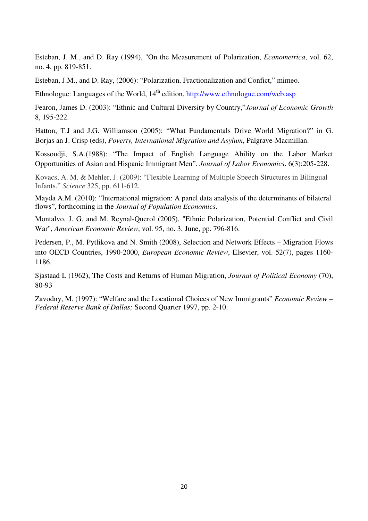Esteban, J. M., and D. Ray (1994), "On the Measurement of Polarization, *Econometrica*, vol. 62, no. 4, pp. 819-851.

Esteban, J.M., and D. Ray, (2006): "Polarization, Fractionalization and Confict," mimeo.

Ethnologue: Languages of the World, 14<sup>th</sup> edition. http://www.ethnologue.com/web.asp

Fearon, James D. (2003): "Ethnic and Cultural Diversity by Country,"*Journal of Economic Growth* 8, 195-222.

Hatton, T.J and J.G. Williamson (2005): "What Fundamentals Drive World Migration?" in G. Borjas an J. Crisp (eds), *Poverty, International Migration and Asylum*, Palgrave-Macmillan.

Kossoudii, S.A.(1988): "The Impact of English Language Ability on the Labor Market Opportunities of Asian and Hispanic Immigrant Men". *Journal of Labor Economics*. 6(3):205-228.

Kovacs, A. M. & Mehler, J. (2009): "Flexible Learning of Multiple Speech Structures in Bilingual Infants." *Science* 325, pp. 611-612.

Mayda A.M. (2010): "International migration: A panel data analysis of the determinants of bilateral flows", forthcoming in the *Journal of Population Economics*.

Montalvo, J. G. and M. Reynal-Querol (2005), "Ethnic Polarization, Potential Conflict and Civil War", *American Economic Review*, vol. 95, no. 3, June, pp. 796-816.

Pedersen, P., M. Pytlikova and N. Smith (2008), Selection and Network Effects – Migration Flows into OECD Countries, 1990-2000, *European Economic Review*, Elsevier, vol. 52(7), pages 1160- 1186.

Sjastaad L (1962), The Costs and Returns of Human Migration, *Journal of Political Economy* (70), 80-93

Zavodny, M. (1997): "Welfare and the Locational Choices of New Immigrants" *Economic Review – Federal Reserve Bank of Dallas;* Second Quarter 1997, pp. 2-10.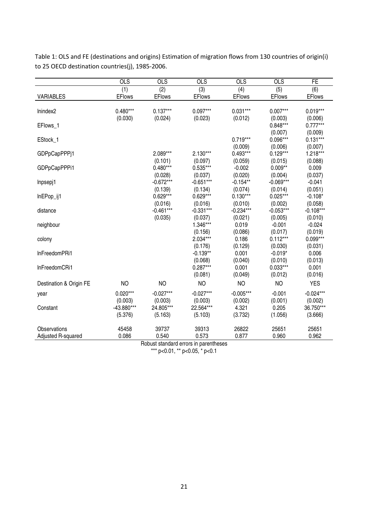| <b>OLS</b>     | <b>OLS</b>                                                                                | <b>OLS</b>                                                                                                                                                                                                             | <b>OLS</b>                                                                                                                                                                                                                                                                                                               | <b>OLS</b>                                                                                                                                                                                                                                                                                                                                  | FE                                                                                                                                                                                                                                                                                                                                                                |
|----------------|-------------------------------------------------------------------------------------------|------------------------------------------------------------------------------------------------------------------------------------------------------------------------------------------------------------------------|--------------------------------------------------------------------------------------------------------------------------------------------------------------------------------------------------------------------------------------------------------------------------------------------------------------------------|---------------------------------------------------------------------------------------------------------------------------------------------------------------------------------------------------------------------------------------------------------------------------------------------------------------------------------------------|-------------------------------------------------------------------------------------------------------------------------------------------------------------------------------------------------------------------------------------------------------------------------------------------------------------------------------------------------------------------|
| (1)            | (2)                                                                                       | (3)                                                                                                                                                                                                                    | (4)                                                                                                                                                                                                                                                                                                                      | (5)                                                                                                                                                                                                                                                                                                                                         | (6)                                                                                                                                                                                                                                                                                                                                                               |
| <b>EF</b> lows | <b>EFlows</b>                                                                             | <b>EFlows</b>                                                                                                                                                                                                          |                                                                                                                                                                                                                                                                                                                          | <b>EFlows</b>                                                                                                                                                                                                                                                                                                                               | <b>EFlows</b>                                                                                                                                                                                                                                                                                                                                                     |
|                |                                                                                           |                                                                                                                                                                                                                        |                                                                                                                                                                                                                                                                                                                          |                                                                                                                                                                                                                                                                                                                                             |                                                                                                                                                                                                                                                                                                                                                                   |
|                |                                                                                           |                                                                                                                                                                                                                        |                                                                                                                                                                                                                                                                                                                          |                                                                                                                                                                                                                                                                                                                                             | $0.019***$                                                                                                                                                                                                                                                                                                                                                        |
|                |                                                                                           |                                                                                                                                                                                                                        |                                                                                                                                                                                                                                                                                                                          |                                                                                                                                                                                                                                                                                                                                             | (0.006)                                                                                                                                                                                                                                                                                                                                                           |
|                |                                                                                           |                                                                                                                                                                                                                        |                                                                                                                                                                                                                                                                                                                          |                                                                                                                                                                                                                                                                                                                                             | $0.777***$                                                                                                                                                                                                                                                                                                                                                        |
|                |                                                                                           |                                                                                                                                                                                                                        |                                                                                                                                                                                                                                                                                                                          |                                                                                                                                                                                                                                                                                                                                             | (0.009)                                                                                                                                                                                                                                                                                                                                                           |
|                |                                                                                           |                                                                                                                                                                                                                        |                                                                                                                                                                                                                                                                                                                          |                                                                                                                                                                                                                                                                                                                                             | $0.131***$                                                                                                                                                                                                                                                                                                                                                        |
|                |                                                                                           |                                                                                                                                                                                                                        |                                                                                                                                                                                                                                                                                                                          |                                                                                                                                                                                                                                                                                                                                             | (0.007)                                                                                                                                                                                                                                                                                                                                                           |
|                |                                                                                           |                                                                                                                                                                                                                        |                                                                                                                                                                                                                                                                                                                          |                                                                                                                                                                                                                                                                                                                                             | 1.218***                                                                                                                                                                                                                                                                                                                                                          |
|                |                                                                                           |                                                                                                                                                                                                                        |                                                                                                                                                                                                                                                                                                                          |                                                                                                                                                                                                                                                                                                                                             | (0.088)                                                                                                                                                                                                                                                                                                                                                           |
|                |                                                                                           |                                                                                                                                                                                                                        |                                                                                                                                                                                                                                                                                                                          |                                                                                                                                                                                                                                                                                                                                             | 0.009                                                                                                                                                                                                                                                                                                                                                             |
|                |                                                                                           |                                                                                                                                                                                                                        |                                                                                                                                                                                                                                                                                                                          |                                                                                                                                                                                                                                                                                                                                             | (0.037)                                                                                                                                                                                                                                                                                                                                                           |
|                |                                                                                           |                                                                                                                                                                                                                        |                                                                                                                                                                                                                                                                                                                          |                                                                                                                                                                                                                                                                                                                                             | $-0.041$                                                                                                                                                                                                                                                                                                                                                          |
|                |                                                                                           |                                                                                                                                                                                                                        |                                                                                                                                                                                                                                                                                                                          |                                                                                                                                                                                                                                                                                                                                             | (0.051)<br>$-0.108*$                                                                                                                                                                                                                                                                                                                                              |
|                |                                                                                           |                                                                                                                                                                                                                        |                                                                                                                                                                                                                                                                                                                          |                                                                                                                                                                                                                                                                                                                                             | (0.058)                                                                                                                                                                                                                                                                                                                                                           |
|                |                                                                                           |                                                                                                                                                                                                                        |                                                                                                                                                                                                                                                                                                                          |                                                                                                                                                                                                                                                                                                                                             | $-0.108***$                                                                                                                                                                                                                                                                                                                                                       |
|                |                                                                                           |                                                                                                                                                                                                                        |                                                                                                                                                                                                                                                                                                                          |                                                                                                                                                                                                                                                                                                                                             | (0.010)                                                                                                                                                                                                                                                                                                                                                           |
|                |                                                                                           |                                                                                                                                                                                                                        |                                                                                                                                                                                                                                                                                                                          |                                                                                                                                                                                                                                                                                                                                             | $-0.024$                                                                                                                                                                                                                                                                                                                                                          |
|                |                                                                                           |                                                                                                                                                                                                                        |                                                                                                                                                                                                                                                                                                                          |                                                                                                                                                                                                                                                                                                                                             | (0.019)                                                                                                                                                                                                                                                                                                                                                           |
|                |                                                                                           |                                                                                                                                                                                                                        |                                                                                                                                                                                                                                                                                                                          |                                                                                                                                                                                                                                                                                                                                             | $0.099***$                                                                                                                                                                                                                                                                                                                                                        |
|                |                                                                                           |                                                                                                                                                                                                                        |                                                                                                                                                                                                                                                                                                                          |                                                                                                                                                                                                                                                                                                                                             | (0.031)                                                                                                                                                                                                                                                                                                                                                           |
|                |                                                                                           |                                                                                                                                                                                                                        |                                                                                                                                                                                                                                                                                                                          |                                                                                                                                                                                                                                                                                                                                             | 0.006                                                                                                                                                                                                                                                                                                                                                             |
|                |                                                                                           |                                                                                                                                                                                                                        |                                                                                                                                                                                                                                                                                                                          |                                                                                                                                                                                                                                                                                                                                             | (0.013)                                                                                                                                                                                                                                                                                                                                                           |
|                |                                                                                           |                                                                                                                                                                                                                        |                                                                                                                                                                                                                                                                                                                          |                                                                                                                                                                                                                                                                                                                                             | 0.001                                                                                                                                                                                                                                                                                                                                                             |
|                |                                                                                           |                                                                                                                                                                                                                        |                                                                                                                                                                                                                                                                                                                          |                                                                                                                                                                                                                                                                                                                                             | (0.016)                                                                                                                                                                                                                                                                                                                                                           |
| NO             | <b>NO</b>                                                                                 | N <sub>O</sub>                                                                                                                                                                                                         | <b>NO</b>                                                                                                                                                                                                                                                                                                                | <b>NO</b>                                                                                                                                                                                                                                                                                                                                   | <b>YES</b>                                                                                                                                                                                                                                                                                                                                                        |
|                |                                                                                           |                                                                                                                                                                                                                        |                                                                                                                                                                                                                                                                                                                          |                                                                                                                                                                                                                                                                                                                                             | $-0.024***$                                                                                                                                                                                                                                                                                                                                                       |
|                |                                                                                           |                                                                                                                                                                                                                        |                                                                                                                                                                                                                                                                                                                          |                                                                                                                                                                                                                                                                                                                                             | (0.002)                                                                                                                                                                                                                                                                                                                                                           |
|                |                                                                                           |                                                                                                                                                                                                                        |                                                                                                                                                                                                                                                                                                                          |                                                                                                                                                                                                                                                                                                                                             | 36.750***                                                                                                                                                                                                                                                                                                                                                         |
|                |                                                                                           |                                                                                                                                                                                                                        |                                                                                                                                                                                                                                                                                                                          |                                                                                                                                                                                                                                                                                                                                             | (3.666)                                                                                                                                                                                                                                                                                                                                                           |
|                |                                                                                           |                                                                                                                                                                                                                        |                                                                                                                                                                                                                                                                                                                          |                                                                                                                                                                                                                                                                                                                                             |                                                                                                                                                                                                                                                                                                                                                                   |
|                |                                                                                           |                                                                                                                                                                                                                        |                                                                                                                                                                                                                                                                                                                          |                                                                                                                                                                                                                                                                                                                                             | 25651                                                                                                                                                                                                                                                                                                                                                             |
|                |                                                                                           |                                                                                                                                                                                                                        |                                                                                                                                                                                                                                                                                                                          |                                                                                                                                                                                                                                                                                                                                             | 0.962                                                                                                                                                                                                                                                                                                                                                             |
|                | $0.480***$<br>(0.030)<br>$0.020***$<br>(0.003)<br>-43.880***<br>(5.376)<br>45458<br>0.086 | $0.137***$<br>(0.024)<br>2.089***<br>(0.101)<br>$0.480***$<br>(0.028)<br>$-0.672***$<br>(0.139)<br>$0.629***$<br>(0.016)<br>$-0.461***$<br>(0.035)<br>$-0.027***$<br>(0.003)<br>24.805***<br>(5.163)<br>39737<br>0.540 | $0.097***$<br>(0.023)<br>$2.130***$<br>(0.097)<br>$0.535***$<br>(0.037)<br>$-0.651***$<br>(0.134)<br>$0.629***$<br>(0.016)<br>$-0.331***$<br>(0.037)<br>1.346***<br>(0.156)<br>2.034***<br>(0.176)<br>$-0.139**$<br>(0.068)<br>$0.287***$<br>(0.081)<br>$-0.027***$<br>(0.003)<br>22.564***<br>(5.103)<br>39313<br>0.573 | <b>EFlows</b><br>$0.031***$<br>(0.012)<br>$0.719***$<br>(0.009)<br>$0.493***$<br>(0.059)<br>$-0.002$<br>(0.020)<br>$-0.154**$<br>(0.074)<br>$0.130***$<br>(0.010)<br>$-0.234***$<br>(0.021)<br>0.019<br>(0.086)<br>0.186<br>(0.129)<br>0.001<br>(0.040)<br>0.001<br>(0.049)<br>$-0.005***$<br>(0.002)<br>4.321<br>(3.732)<br>26822<br>0.877 | $0.007***$<br>(0.003)<br>$0.848***$<br>(0.007)<br>0.096***<br>(0.006)<br>$0.129***$<br>(0.015)<br>$0.009**$<br>(0.004)<br>$-0.069***$<br>(0.014)<br>$0.025***$<br>(0.002)<br>$-0.053***$<br>(0.005)<br>$-0.001$<br>(0.017)<br>$0.112***$<br>(0.030)<br>$-0.019*$<br>(0.010)<br>$0.033***$<br>(0.012)<br>$-0.001$<br>(0.001)<br>0.205<br>(1.056)<br>25651<br>0.960 |

Table 1: OLS and FE (destinations and origins) Estimation of migration flows from 130 countries of origin(i) to 25 OECD destination countries(j), 1985-2006.

Robust standard errors in parentheses

\*\*\* p<0.01, \*\* p<0.05, \* p<0.1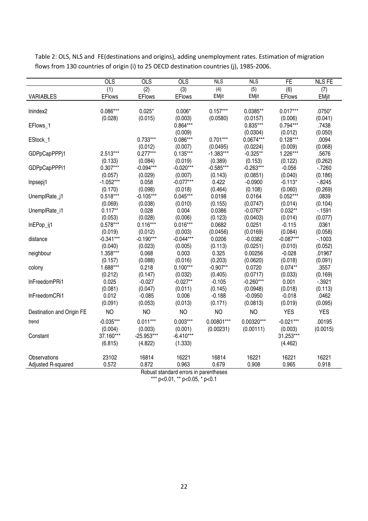|                           | <b>OLS</b>    | <b>OLS</b>    | <b>OLS</b>    | <b>NLS</b>     | <b>NLS</b>   | FE            | <b>NLS FE</b> |
|---------------------------|---------------|---------------|---------------|----------------|--------------|---------------|---------------|
|                           | (1)           | (2)           | (3)           | (4)            | (5)          | (6)           | (7)           |
| <b>VARIABLES</b>          | <b>EFlows</b> | <b>EFlows</b> | <b>EFlows</b> | <b>EMjit</b>   | EMjit        | <b>EFlows</b> | <b>EMjit</b>  |
|                           |               |               |               |                |              |               |               |
| Inindex2                  | $0.086***$    | $0.025*$      | $0.006*$      | $0.157***$     | 0.0385**     | $0.017***$    | $.0750*$      |
|                           | (0.028)       | (0.015)       | (0.003)       | (0.0580)       | (0.0157)     | (0.006)       | (0.041)       |
| EFlows_1                  |               |               | $0.864***$    |                | $0.835***$   | $0.794***$    | .7438         |
|                           |               |               | (0.009)       |                | (0.0304)     | (0.012)       | (0.050)       |
| EStock_1                  |               | $0.733***$    | $0.086***$    | $0.701***$     | 0.0674***    | $0.128***$    | .0094         |
|                           |               | (0.012)       | (0.007)       | (0.0495)       | (0.0224)     | (0.009)       | (0.068)       |
| GDPpCapPPPj1              | 2.513***      | $0.277***$    | $0.135***$    | $-1.383***$    | $-0.325**$   | 1.226***      | .5676         |
|                           | (0.133)       | (0.084)       | (0.019)       | (0.389)        | (0.153)      | (0.122)       | (0.262)       |
| GDPpCapPPPi1              | $0.307***$    | $-0.094***$   | $-0.020***$   | $-0.585***$    | $-0.263***$  | $-0.056$      | $-7260$       |
|                           | (0.057)       | (0.029)       | (0.007)       | (0.143)        | (0.0851)     | (0.040)       | (0.186)       |
| Inpsepj1                  | $-1.052***$   | 0.058         | $-0.077***$   | 0.422          | $-0.0900$    | $-0.113*$     | $-0.8245$     |
|                           | (0.170)       | (0.098)       | (0.018)       | (0.464)        | (0.108)      | (0.060)       | (0.269)       |
| UnemplRate_j1             | $0.518***$    | $-0.105***$   | $0.045***$    | 0.0198         | 0.0164       | $0.052***$    | .0839         |
|                           | (0.069)       | (0.038)       | (0.010)       | (0.155)        | (0.0747)     | (0.014)       | (0.104)       |
| UnemplRate_i1             | $0.117**$     | 0.028         | 0.004         | 0.0386         | $-0.0767*$   | $0.032**$     | $-1591$       |
|                           | (0.053)       | (0.028)       | (0.006)       | (0.123)        | (0.0403)     | (0.014)       | (0.077)       |
| InEPop_ij1                | $0.578***$    | $0.116***$    | $0.016***$    | 0.0682         | 0.0251       | $-0.115$      | .0361         |
|                           | (0.019)       | (0.012)       | (0.003)       | (0.0456)       | (0.0169)     | (0.084)       | (0.058)       |
| distance                  | $-0.341***$   | $-0.190***$   | $-0.044***$   | 0.0206         | $-0.0382$    | $-0.087***$   | $-1003$       |
|                           | (0.040)       | (0.023)       | (0.005)       | (0.113)        | (0.0251)     | (0.010)       | (0.052)       |
| neighbour                 | 1.358***      | 0.068         | 0.003         | 0.325          | 0.00256      | $-0.028$      | .01967        |
|                           | (0.157)       | (0.088)       | (0.016)       | (0.203)        | (0.0620)     | (0.018)       | (0.091)       |
| colony                    | 1.688***      | 0.218         | $0.100***$    | $-0.907**$     | 0.0720       | $0.074**$     | .3557         |
|                           | (0.212)       | (0.147)       | (0.032)       | (0.405)        | (0.0717)     | (0.033)       | (0.169)       |
| InFreedomPRi1             | 0.025         | $-0.027$      | $-0.027**$    | $-0.105$       | $-0.260***$  | 0.001         | $-0.3921$     |
|                           | (0.081)       | (0.047)       | (0.011)       | (0.145)        | (0.0948)     | (0.018)       | (0.113)       |
| InFreedomCRi1             | 0.012         | $-0.085$      | 0.006         | $-0.188$       | $-0.0950$    | $-0.018$      | .0462         |
|                           | (0.091)       | (0.053)       | (0.013)       | (0.171)        | (0.0813)     | (0.019)       | (0.095)       |
| Destination and Origin FE | <b>NO</b>     | <b>NO</b>     | <b>NO</b>     | N <sub>O</sub> | <b>NO</b>    | <b>YES</b>    | <b>YES</b>    |
| trend                     | $-0.035***$   | $0.011***$    | $0.003***$    | $0.00801***$   | $0.00320***$ | $-0.021***$   | .00195        |
|                           | (0.004)       | (0.003)       | (0.001)       | (0.00231)      | (0.00111)    | (0.003)       | (0.0015)      |
| Constant                  | 37.160***     | $-25.953***$  | $-6.410***$   |                |              | 31.253***     |               |
|                           | (6.815)       | (4.822)       | (1.333)       |                |              | (4.462)       |               |
|                           |               |               |               |                |              |               |               |
| Observations              | 23102         | 16814         | 16221         | 16814          | 16221        | 16221         | 16221         |
| Adjusted R-squared        | 0.572         | 0.872         | 0.963         | 0.679          | 0.908        | 0.965         | 0.918         |

Table 2: OLS, NLS and FE(destinations and origins), adding unemployment rates. Estimation of migration flows from 130 countries of origin (i) to 25 OECD destination countries (j), 1985-2006.

Robust standard errors in parentheses

\*\*\* p<0.01, \*\* p<0.05, \* p<0.1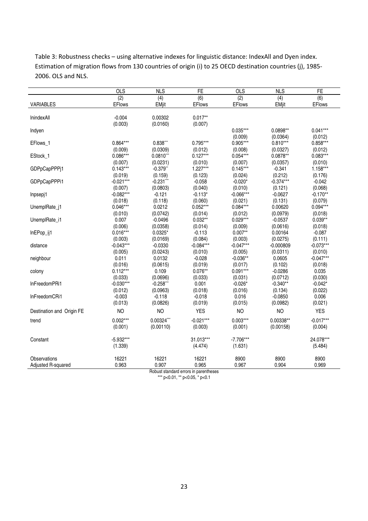Table 3: Robustness checks – using alternative indexes for linguistic distance: IndexAll and Dyen index. Estimation of migration flows from 130 countries of origin (i) to 25 OECD destination countries (j), 1985- 2006. OLS and NLS.

|                           | <b>OLS</b>    | <b>NLS</b>                 | <b>FE</b>     | <b>OLS</b>    | <b>NLS</b>  | <b>FE</b>     |
|---------------------------|---------------|----------------------------|---------------|---------------|-------------|---------------|
|                           | (2)           | (4)                        | (6)           | (2)           | (4)         | (6)           |
| <b>VARIABLES</b>          | <b>EFlows</b> | <b>EMjit</b>               | <b>EFlows</b> | <b>EFlows</b> | EMjit       | <b>EFlows</b> |
|                           |               |                            |               |               |             |               |
| InindexAll                | $-0.004$      | 0.00302                    | $0.017**$     |               |             |               |
|                           | (0.003)       | (0.0160)                   | (0.007)       |               |             |               |
| Indyen                    |               |                            |               | $0.035***$    | 0.0898**    | $0.041***$    |
|                           |               |                            |               | (0.009)       | (0.0364)    | (0.012)       |
| EFlows_1                  | $0.864***$    | $0.838***$                 | $0.795***$    | $0.905***$    | $0.810***$  | $0.858***$    |
|                           | (0.009)       | (0.0309)                   | (0.012)       | (0.008)       | (0.0327)    | (0.012)       |
| EStock_1                  | $0.086***$    | $0.0810$ ***               | $0.127***$    | $0.054***$    | $0.0878**$  | $0.083***$    |
|                           | (0.007)       | (0.0231)                   | (0.010)       | (0.007)       | (0.0357)    | (0.010)       |
| GDPpCapPPPj1              | $0.143***$    | $-0.379$ **                | $1.227***$    | $0.145***$    | $-0.341$    | $1.158***$    |
|                           | (0.019)       | (0.159)                    | (0.123)       | (0.024)       | (0.212)     | (0.176)       |
| GDPpCapPPPi1              | $-0.021***$   | $-0.231$ ***               | $-0.058$      | $-0.020*$     | $-0.374***$ | $-0.042$      |
|                           | (0.007)       | (0.0803)                   | (0.040)       | (0.010)       | (0.121)     | (0.068)       |
| Inpsepj1                  | $-0.082***$   | $-0.121$                   | $-0.113*$     | $-0.066***$   | $-0.0627$   | $-0.170**$    |
|                           | (0.018)       | (0.118)                    | (0.060)       | (0.021)       | (0.131)     | (0.079)       |
| UnemplRate_j1             | $0.046***$    | 0.0212                     | $0.052***$    | $0.084***$    | 0.00620     | $0.094***$    |
|                           | (0.010)       | (0.0742)                   | (0.014)       | (0.012)       | (0.0979)    | (0.018)       |
| UnemplRate_i1             | 0.007         | $-0.0496$                  | $0.032**$     | $0.029***$    | $-0.0537$   | $0.039**$     |
|                           | (0.006)       | (0.0358)                   | (0.014)       | (0.009)       | (0.0616)    | (0.018)       |
| InEPop_ij1                | $0.016***$    | $0.0325*$                  | $-0.113$      | $0.007**$     | 0.00164     | $-0.087$      |
|                           | (0.003)       | (0.0169)                   | (0.084)       | (0.003)       | (0.0275)    | (0.111)       |
| distance                  | $-0.043***$   | $-0.0330$                  | $-0.084***$   | $-0.047***$   | $-0.000809$ | $-0.073***$   |
|                           | (0.005)       | (0.0243)                   | (0.010)       | (0.005)       | (0.0311)    | (0.010)       |
| neighbour                 | 0.011         | 0.0132                     | $-0.028$      | $-0.036**$    | 0.0605      | $-0.047***$   |
|                           | (0.016)       | (0.0615)                   | (0.019)       | (0.017)       | (0.102)     | (0.018)       |
| colony                    | $0.112***$    | 0.109                      | $0.076**$     | $0.091***$    | $-0.0286$   | 0.035         |
|                           | (0.033)       | (0.0696)                   | (0.033)       | (0.031)       | (0.0712)    | (0.030)       |
| InFreedomPRi1             | $-0.030***$   | $-0.258$ **                | 0.001         | $-0.026*$     | $-0.340**$  | $-0.042*$     |
|                           | (0.012)       | (0.0963)                   | (0.018)       | (0.016)       | (0.134)     | (0.022)       |
| InFreedomCRi1             | $-0.003$      | $-0.118$                   | $-0.018$      | 0.016         | $-0.0850$   | 0.006         |
|                           | (0.013)       | (0.0826)                   | (0.019)       | (0.015)       | (0.0982)    | (0.021)       |
| Destination and Origin FE | <b>NO</b>     | <b>NO</b>                  | <b>YES</b>    | <b>NO</b>     | <b>NO</b>   | <b>YES</b>    |
| trend                     | $0.002***$    | 0.00324***                 | $-0.021***$   | $0.003***$    | $0.00338**$ | $-0.017***$   |
|                           | (0.001)       | (0.00110)                  | (0.003)       | (0.001)       | (0.00158)   | (0.004)       |
|                           |               |                            |               |               |             |               |
| Constant                  | $-5.932***$   |                            | 31.013***     | $-7.706***$   |             | 24.078***     |
|                           | (1.339)       |                            | (4.474)       | (1.631)       |             | (5.484)       |
| Observations              | 16221         | 16221                      | 16221         | 8900          | 8900        | 8900          |
| Adjusted R-squared        | 0.963         | 0.907                      | 0.965         | 0.967         | 0.904       | 0.969         |
|                           |               | Die keine Antonie als sieh |               |               |             |               |

Robust standard errors in parentheses \*\*\* p<0.01, \*\* p<0.05, \* p<0.1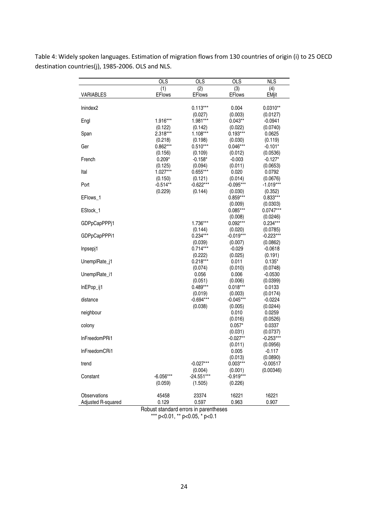|                    | <b>OLS</b>    | <b>OLS</b>            | <b>OLS</b>            | <b>NLS</b>             |
|--------------------|---------------|-----------------------|-----------------------|------------------------|
|                    | (1)           | (2)                   | (3)                   | (4)                    |
| <b>VARIABLES</b>   | <b>EFlows</b> | <b>EFlows</b>         | <b>EFlows</b>         | <b>EMjit</b>           |
| Inindex2           |               | $0.113***$            |                       |                        |
|                    |               | (0.027)               | 0.004<br>(0.003)      | $0.0310**$<br>(0.0127) |
| Engl               | 1.916***      | 1.981***              | $0.043**$             | $-0.0941$              |
|                    | (0.122)       | (0.142)               | (0.022)               | (0.0740)               |
| Span               | 2.318***      | $1.108***$            | $0.193***$            | 0.0625                 |
|                    | (0.218)       | (0.198)               | (0.030)               | (0.119)                |
| Ger                | $0.862***$    | $0.510***$            | $0.046***$            | $-0.101*$              |
|                    | (0.156)       | (0.109)               | (0.012)               | (0.0536)               |
| French             | $0.209*$      | $-0.158*$             | $-0.003$              | $-0.127*$              |
|                    | (0.125)       | (0.094)               | (0.011)               | (0.0653)               |
| Ital               | $1.027***$    | $0.655***$            | 0.020                 | 0.0792                 |
|                    | (0.150)       | (0.121)               | (0.014)               | (0.0676)               |
| Port               | $-0.514**$    | $-0.622***$           | $-0.095***$           | $-1.019***$            |
| EFlows 1           | (0.229)       | (0.144)               | (0.030)<br>$0.859***$ | (0.352)<br>$0.833***$  |
|                    |               |                       | (0.009)               | (0.0303)               |
| EStock_1           |               |                       | $0.085***$            | $0.0747***$            |
|                    |               |                       | (0.008)               | (0.0246)               |
| GDPpCapPPPj1       |               | 1.736***              | $0.092***$            | $0.234***$             |
|                    |               | (0.144)               | (0.020)               | (0.0785)               |
| GDPpCapPPPi1       |               | $0.234***$            | $-0.019***$           | $-0.223***$            |
|                    |               | (0.039)               | (0.007)               | (0.0862)               |
| Inpsepj1           |               | $0.714***$            | $-0.029$              | $-0.0618$              |
|                    |               | (0.222)               | (0.025)               | (0.191)                |
| UnemplRate_j1      |               | $0.218***$            | 0.011                 | $0.135*$               |
|                    |               | (0.074)               | (0.010)               | (0.0748)               |
| UnemplRate_i1      |               | 0.056                 | 0.006                 | $-0.0530$              |
| InEPop_ij1         |               | (0.051)<br>$0.489***$ | (0.006)<br>$0.018***$ | (0.0399)<br>0.0133     |
|                    |               | (0.019)               | (0.003)               | (0.0174)               |
| distance           |               | $-0.694***$           | $-0.045***$           | $-0.0224$              |
|                    |               | (0.038)               | (0.005)               | (0.0244)               |
| neighbour          |               |                       | 0.010                 | 0.0259                 |
|                    |               |                       | (0.016)               | (0.0526)               |
| colony             |               |                       | $0.057*$              | 0.0337                 |
|                    |               |                       | (0.031)               | (0.0737)               |
| InFreedomPRi1      |               |                       | $-0.027**$            | $-0.253***$            |
|                    |               |                       | (0.011)               | (0.0956)               |
| InFreedomCRi1      |               |                       | 0.005                 | $-0.117$               |
| trend              |               | $-0.027***$           | (0.013)<br>$0.003***$ | (0.0890)<br>$-0.00517$ |
|                    |               | (0.004)               | (0.001)               | (0.00346)              |
| Constant           | $-6.056***$   | $-24.551***$          | $-0.919***$           |                        |
|                    | (0.059)       | (1.505)               | (0.226)               |                        |
|                    |               |                       |                       |                        |
| Observations       | 45458         | 23374                 | 16221                 | 16221                  |
| Adjusted R-squared | 0.129         | 0.597                 | 0.963                 | 0.907                  |

Table 4: Widely spoken languages. Estimation of migration flows from 130 countries of origin (i) to 25 OECD destination countries(j), 1985-2006. OLS and NLS.

Robust standard errors in parentheses

\*\*\* p<0.01, \*\* p<0.05, \* p<0.1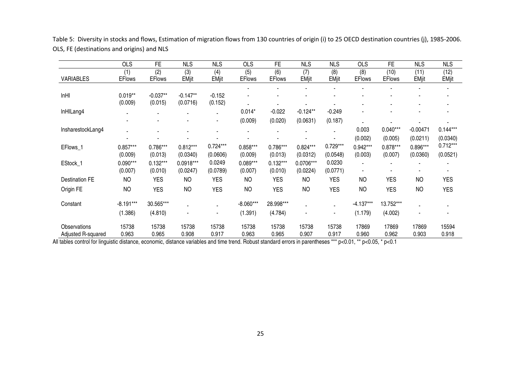|                                    | <b>OLS</b>            | <b>FE</b>             | <b>NLS</b>             | <b>NLS</b>             | <b>OLS</b>            | FE                    | <b>NLS</b>             | <b>NLS</b>             | <b>OLS</b>           | FE                    | <b>NLS</b>           | <b>NLS</b>             |
|------------------------------------|-----------------------|-----------------------|------------------------|------------------------|-----------------------|-----------------------|------------------------|------------------------|----------------------|-----------------------|----------------------|------------------------|
| <b>VARIABLES</b>                   | (1)<br><b>EFlows</b>  | (2)<br><b>EFlows</b>  | (3)<br><b>EMjit</b>    | (4)<br><b>EMjit</b>    | (5)<br><b>EFlows</b>  | (6)<br><b>EFlows</b>  | (7)<br><b>EMjit</b>    | (8)<br><b>EMjit</b>    | (8)<br><b>EFlows</b> | (10)<br><b>EFlows</b> | (11)<br><b>EMjit</b> | (12)<br><b>EMjit</b>   |
|                                    |                       |                       |                        |                        |                       |                       |                        |                        |                      |                       |                      |                        |
| InHI                               | $0.019**$<br>(0.009)  | $-0.037**$<br>(0.015) | $-0.147**$<br>(0.0716) | $-0.152$<br>(0.152)    |                       |                       |                        |                        |                      |                       |                      |                        |
| InHILang4                          |                       |                       |                        | ۰                      | $0.014*$              | $-0.022$              | $-0.124**$             | $-0.249$               |                      |                       |                      |                        |
|                                    |                       |                       |                        | ۰                      | (0.009)               | (0.020)               | (0.0631)               | (0.187)                |                      |                       |                      |                        |
| InsharestockLang4                  |                       |                       |                        |                        |                       |                       |                        |                        | 0.003                | $0.040***$            | $-0.00471$           | $0.144***$             |
|                                    |                       |                       |                        |                        |                       |                       |                        |                        | (0.002)              | (0.005)               | (0.0211)             | (0.0340)               |
| EFlows_1                           | $0.857***$<br>(0.009) | $0.786***$<br>(0.013) | $0.812***$<br>(0.0340) | $0.724***$<br>(0.0606) | $0.858***$<br>(0.009) | 0.786***<br>(0.013)   | $0.824***$<br>(0.0312) | $0.729***$<br>(0.0548) | 0.942***<br>(0.003)  | $0.878***$<br>(0.007) | 0.896***<br>(0.0360) | $0.712***$<br>(0.0521) |
| EStock_1                           | $0.090***$<br>(0.007) | $0.132***$<br>(0.010) | 0.0918***<br>(0.0247)  | 0.0249<br>(0.0789)     | $0.089***$<br>(0.007) | $0.132***$<br>(0.010) | 0.0706***<br>(0.0224)  | 0.0230<br>(0.0771)     | $\blacksquare$       |                       |                      |                        |
| <b>Destination FE</b>              | <b>NO</b>             | <b>YES</b>            | <b>NO</b>              | <b>YES</b>             | <b>NO</b>             | <b>YES</b>            | <b>NO</b>              | <b>YES</b>             | <b>NO</b>            | <b>YES</b>            | <b>NO</b>            | <b>YES</b>             |
| Origin FE                          | <b>NO</b>             | <b>YES</b>            | <b>NO</b>              | <b>YES</b>             | <b>NO</b>             | <b>YES</b>            | <b>NO</b>              | <b>YES</b>             | <b>NO</b>            | <b>YES</b>            | <b>NO</b>            | <b>YES</b>             |
| Constant                           | $-8.191***$           | 30.565***             |                        |                        | $-8.060***$           | 28.998***             |                        |                        | $-4.137***$          | 13.752***             |                      |                        |
|                                    | (1.386)               | (4.810)               |                        | ٠                      | (1.391)               | (4.784)               |                        |                        | (1.179)              | (4.002)               |                      |                        |
| Observations<br>Adjusted R-squared | 15738<br>0.963        | 15738<br>0.965        | 15738<br>0.908         | 15738<br>0.917         | 15738<br>0.963        | 15738<br>0.965        | 15738<br>0.907         | 15738<br>0.917         | 17869<br>0.960       | 17869<br>0.962        | 17869<br>0.903       | 15594<br>0.918         |

Table 5: Diversity in stocks and flows, Estimation of migration flows from 130 countries of origin (i) to 25 OECD destination countries (j), 1985-2006. OLS, FE (destinations and origins) and NLS

All tables control for linguistic distance, economic, distance variables and time trend. Robust standard errors in parentheses \*\*\* p<0.01, \*\* p<0.05, \* p<0.1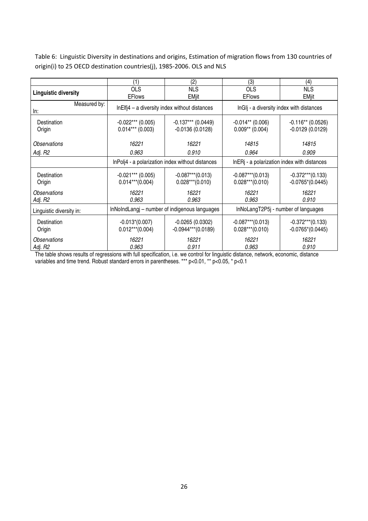Table 6: Linguistic Diversity in destinations and origins, Estimation of migration flows from 130 countries of origin(i) to 25 OECD destination countries(j), 1985-2006. OLS and NLS

|                             | (1)                 | (2)                                              | (3)                                         | (4)                 |  |
|-----------------------------|---------------------|--------------------------------------------------|---------------------------------------------|---------------------|--|
| <b>Linguistic diversity</b> | <b>OLS</b>          | <b>NLS</b>                                       | <b>OLS</b>                                  | <b>NLS</b>          |  |
|                             | <b>EFlows</b>       | <b>EMjit</b>                                     | <b>EFlows</b>                               | <b>EMjit</b>        |  |
| Measured by:<br>ln:         |                     | $In EIf 4 - a diversity index without distances$ | InGIj - a diversity index with distances    |                     |  |
| Destination                 | $-0.022***$ (0.005) | $-0.137***$ (0.0449)                             | $-0.014**$ (0.006)                          | $-0.116**$ (0.0526) |  |
| Origin                      | $0.014***$ (0.003)  | $-0.0136(0.0128)$                                | $0.009**$ (0.004)                           | $-0.0129(0.0129)$   |  |
| Observations                | 16221               | 16221                                            | 14815                                       | 14815               |  |
| Adj. R2                     | 0.963               | 0.910                                            | 0.964                                       | 0.909               |  |
|                             |                     | InPolj4 - a polarization index without distances | InERj - a polarization index with distances |                     |  |
| Destination                 | $-0.021***$ (0.005) | $-0.087***$ (0.013)                              | $-0.087***$ (0.013)                         | $-0.372***$ (0.133) |  |
| Origin                      | $0.014***(0.004)$   | $0.028***(0.010)$                                | $0.028***(0.010)$                           | $-0.0765*(0.0445)$  |  |
| Observations                | 16221               | 16221                                            | 16221                                       | 16221               |  |
| Adj. R2                     | 0.963               | 0.963                                            | 0.963                                       | 0.910               |  |
| Linguistic diversity in:    |                     | InNoIndLangi – number of indigenous languages    | InNoLangT2P5j - number of languages         |                     |  |
| Destination                 | $-0.013*(0.007)$    | $-0.0265(0.0302)$                                | $-0.087***$ (0.013)                         | $-0.372***$ (0.133) |  |
| Origin                      | $0.012***(0.004)$   | $-0.0944***$ (0.0189)                            | $0.028***(0.010)$                           | $-0.0765*(0.0445)$  |  |
| Observations                | 16221               | 16221                                            | 16221                                       | 16221               |  |
| Adj. R2                     | 0.963               | 0.911                                            | 0.963                                       | 0.910               |  |

The table shows results of regressions with full specification, i.e. we control for linguistic distance, network, economic, distance variables and time trend. Robust standard errors in parentheses. \*\*\* p<0.01, \*\* p<0.05, \* p<0.1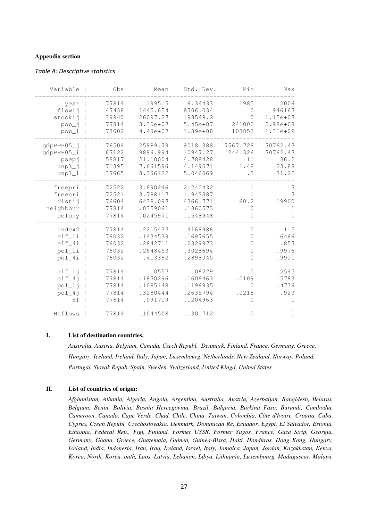#### **Appendix section**

#### Table A: Descriptive statistics

| Max          | Min          | Std. Dev.    | Mean       | Obs   | Variable   |
|--------------|--------------|--------------|------------|-------|------------|
| 2006         | 1985         | 6.34433      | 1995.5     | 77814 | year       |
| 946167       | 0            | 8706.034     | 1445.654   | 47438 | flowij     |
| $1.15e+07$   | 0            | 198549.2     | 26097.27   | 39940 | stockij    |
| $2.98e + 08$ | 241000       | $5.45e+07$   | 3.30e+07   | 77814 | pop_j      |
| $1.31e+09$   | 103852       | $1.39e + 08$ | $4.46e+07$ | 73602 | pop_i      |
| 70762.47     | 7567.728     | 9018.388     | 25989.79   | 76504 | gdpPPP05_j |
| 70762.47     | 244.326      | 10947.27     | 9896.994   | 67122 | qdpPPP05_i |
| 36.2         | 11           | 4.788428     | 21.10004   | 58817 | psepj      |
| 23.88        | 1.48         | 4.149071     | 7.661596   | 71395 | $unpl$ _j  |
| 31.22        | $\cdot$ 3    | 5.046069     | 8.366122   | 37665 | $unpl_i$   |
| 7            | $\mathbf{1}$ | 2.240432     | 3.690246   | 72522 | freepri    |
| 7            | $\mathbf{1}$ | 1.943387     | 3.788117   | 72521 | freecri    |
| 19900        | 60.2         | 4366.771     | 6438.097   | 76604 | distij     |
| 1            | 0            | .1860573     | .0359061   | 77814 | neighbour  |
| $\mathbf{1}$ | 0            | .1548948     | .0245971   | 77814 | colony     |
| 1.5          | $\mathbf 0$  | .4168986     | .2215437   | 77814 | index2     |
| .6466        | $\circ$      | .1697655     | .1434539   | 76032 | $ell_1$ i  |
| .857         | 0            | .2329973     | .2842711   | 76032 | $ell_4i$   |
| .9976        | 0            | .3028694     | .2648453   | 76032 | pol_1i     |
| .9911        | 0            | .2898045     | .413382    | 76032 | pol_4i     |
| .2545        | $\mathbf{0}$ | .06229       | .0557      | 77814 | $ell_1$ j  |
| .5783        | .0109        | .1606463     | .1870296   | 77814 | $elf_4$ j  |
| .4736        | $\Omega$     | .1196935     | .1085148   | 77814 | $pol\_1j$  |
| .923         | .0218        | .2635794     | .3280444   | 77814 | $pol_4j$   |
| 1            | 0            | .1204963     | .091719    | 77814 | HI         |
| $\mathbf 1$  | $\mathbb O$  | .1301712     | .1044508   | 77814 | HIflows    |

#### **I. List of destination countries,**

*Australia, Austria, Belgium, Canada, Czech Republ, Denmark, Finland, France, Germany, Greece, Hungary, Iceland, Ireland, Italy, Japan, Luxembourg, Netherlands, New Zealand, Norway, Poland, Portugal, Slovak Repub, Spain, Sweden, Switzerland, United Kingd, United States* 

#### **II. List of countries of origin:**

*Afghanistan, Albania, Algeria, Angola, Argentina, Australia, Austria, Azerbaijan, Bangldesh, Belarus, Belgium, Benin, Bolivia, Bosnia Hercegovina, Brazil, Bulgaria, Burkina Faso, Burundi, Cambodia, Cameroon, Canada, Cape Verde, Chad, Chile, China, Taiwan, Colombia, Côte d'Ivoire, Croatia, Cuba, Cyprus, Czech Republ, Czechoslovakia, Denmark, Dominican Re, Ecuador, Egypt, El Salvador, Estonia, Ethiopia, Federal Rep., Figi, Finland, Former USSR, Former Yugos, France, Gaza Strip, Georgia, Germany, Ghana, Greece, Guatemala, Guinea, Guinea-Bissa, Haiti, Honduras, Hong Kong, Hungary, Iceland, India, Indonesia, Iran, Iraq, Ireland, Israel, Italy, Jamaica, Japan, Jordan, Kazakhstan, Kenya, Korea, North, Korea, outh, Laos, Latvia, Lebanon, Libya, Lithuania, Luxembourg, Madagascar, Malawi,*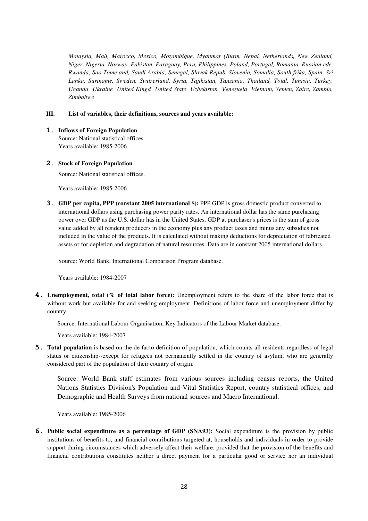*Malaysia, Mali, Marocco, Mexico, Mozambique, Myanmar (Burm, Nepal, Netherlands, New Zealand, Niger, Nigeria, Norway, Pakistan, Paraguay, Peru, Philippines, Poland, Portugal, Romania, Russian ede, Rwanda, Sao Tome and, Saudi Arabia, Senegal, Slovak Repub, Slovenia, Somalia, South frika, Spain, Sri Lanka, Suriname, Sweden, Switzerland, Syria, Tajikistan, Tanzania, Thailand, Total, Tunisia, Turkey, Uganda Ukraine United Kingd United State Uzbekistan Venezuela Vietnam, Yemen, Zaire, Zambia, Zimbabwe* 

## **III. List of variables, their definitions, sources and years available:**

**1. Inflows of Foreign Population** Source: National statistical offices. Years available: 1985-2006

#### **2. Stock of Foreign Population**

Source: National statistical offices.

Years available: 1985-2006

**3. GDP per capita, PPP (constant 2005 international \$):** PPP GDP is gross domestic product converted to international dollars using purchasing power parity rates. An international dollar has the same purchasing power over GDP as the U.S. dollar has in the United States. GDP at purchaser's prices is the sum of gross value added by all resident producers in the economy plus any product taxes and minus any subsidies not included in the value of the products. It is calculated without making deductions for depreciation of fabricated assets or for depletion and degradation of natural resources. Data are in constant 2005 international dollars.

Source: World Bank, International Comparison Program database.

Years available: 1984-2007

**4. Unemployment, total (% of total labor force):** Unemployment refers to the share of the labor force that is without work but available for and seeking employment. Definitions of labor force and unemployment differ by country.

Source: International Labour Organisation, Key Indicators of the Labour Market database.

Years available: 1984-2007

**5. Total population** is based on the de facto definition of population, which counts all residents regardless of legal status or citizenship--except for refugees not permanently settled in the country of asylum, who are generally considered part of the population of their country of origin.

Source: World Bank staff estimates from various sources including census reports, the United Nations Statistics Division's Population and Vital Statistics Report, country statistical offices, and Demographic and Health Surveys from national sources and Macro International.

Years available: 1985-2006

**6. Public social expenditure as a percentage of GDP (SNA93):** Social expenditure is the provision by public institutions of benefits to, and financial contributions targeted at, households and individuals in order to provide support during circumstances which adversely affect their welfare, provided that the provision of the benefits and financial contributions constitutes neither a direct payment for a particular good or service nor an individual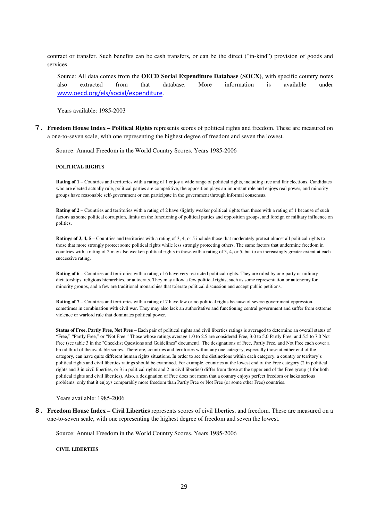contract or transfer. Such benefits can be cash transfers, or can be the direct ("in-kind") provision of goods and services.

Source: All data comes from the **OECD Social Expenditure Database (SOCX)**, with specific country notes also extracted from that database. More information is available under www.oecd.org/els/social/expenditure.

Years available: 1985-2003

**7. Freedom House Index – Political Rights** represents scores of political rights and freedom. These are measured on a one-to-seven scale, with one representing the highest degree of freedom and seven the lowest.

Source: Annual Freedom in the World Country Scores. Years 1985-2006

#### **POLITICAL RIGHTS**

**Rating of 1** – Countries and territories with a rating of 1 enjoy a wide range of political rights, including free and fair elections. Candidates who are elected actually rule, political parties are competitive, the opposition plays an important role and enjoys real power, and minority groups have reasonable self-government or can participate in the government through informal consensus.

**Rating of 2** – Countries and territories with a rating of 2 have slightly weaker political rights than those with a rating of 1 because of such factors as some political corruption, limits on the functioning of political parties and opposition groups, and foreign or military influence on politics.

**Ratings of 3, 4, 5** – Countries and territories with a rating of 3, 4, or 5 include those that moderately protect almost all political rights to those that more strongly protect some political rights while less strongly protecting others. The same factors that undermine freedom in countries with a rating of 2 may also weaken political rights in those with a rating of 3, 4, or 5, but to an increasingly greater extent at each successive rating.

Rating of 6 – Countries and territories with a rating of 6 have very restricted political rights. They are ruled by one-party or military dictatorships, religious hierarchies, or autocrats. They may allow a few political rights, such as some representation or autonomy for minority groups, and a few are traditional monarchies that tolerate political discussion and accept public petitions.

**Rating of 7** – Countries and territories with a rating of 7 have few or no political rights because of severe government oppression, sometimes in combination with civil war. They may also lack an authoritative and functioning central government and suffer from extreme violence or warlord rule that dominates political power.

**Status of Free, Partly Free, Not Free** – Each pair of political rights and civil liberties ratings is averaged to determine an overall status of "Free," "Partly Free," or "Not Free." Those whose ratings average 1.0 to 2.5 are considered Free, 3.0 to 5.0 Partly Free, and 5.5 to 7.0 Not Free (see table 3 in the "Checklist Questions and Guidelines" document). The designations of Free, Partly Free, and Not Free each cover a broad third of the available scores. Therefore, countries and territories within any one category, especially those at either end of the category, can have quite different human rights situations. In order to see the distinctions within each category, a country or territory's political rights and civil liberties ratings should be examined. For example, countries at the lowest end of the Free category (2 in political rights and 3 in civil liberties, or 3 in political rights and 2 in civil liberties) differ from those at the upper end of the Free group (1 for both political rights and civil liberties). Also, a designation of Free does not mean that a country enjoys perfect freedom or lacks serious problems, only that it enjoys comparably more freedom than Partly Free or Not Free (or some other Free) countries.

#### Years available: 1985-2006

**8. Freedom House Index – Civil Liberties** represents scores of civil liberties, and freedom. These are measured on a one-to-seven scale, with one representing the highest degree of freedom and seven the lowest.

Source: Annual Freedom in the World Country Scores. Years 1985-2006

#### **CIVIL LIBERTIES**